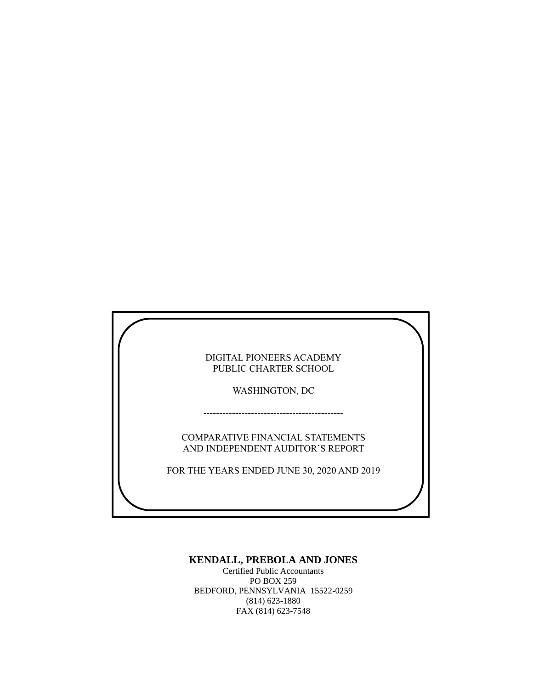| DIGITAL PIONEERS ACADEMY<br>PUBLIC CHARTER SCHOOL                    |  |
|----------------------------------------------------------------------|--|
| <b>WASHINGTON, DC</b>                                                |  |
|                                                                      |  |
| COMPARATIVE FINANCIAL STATEMENTS<br>AND INDEPENDENT AUDITOR'S REPORT |  |
| FOR THE YEARS ENDED JUNE 30, 2020 AND 2019                           |  |
|                                                                      |  |

### **KENDALL, PREBOLA AND JONES**

Certified Public Accountants PO BOX 259 BEDFORD, PENNSYLVANIA 15522-0259 (814) 623-1880 FAX (814) 623-7548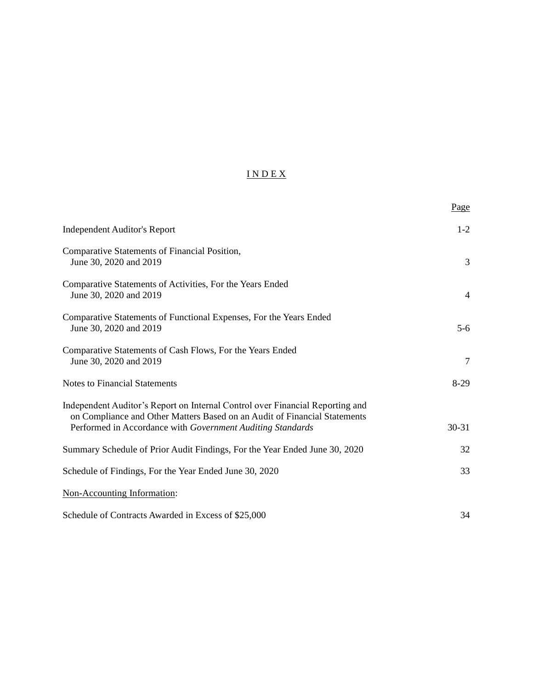### I N D E X

|                                                                                                                                                                                                                          | Page      |
|--------------------------------------------------------------------------------------------------------------------------------------------------------------------------------------------------------------------------|-----------|
| <b>Independent Auditor's Report</b>                                                                                                                                                                                      | $1-2$     |
| Comparative Statements of Financial Position,<br>June 30, 2020 and 2019                                                                                                                                                  | 3         |
| Comparative Statements of Activities, For the Years Ended<br>June 30, 2020 and 2019                                                                                                                                      | 4         |
| Comparative Statements of Functional Expenses, For the Years Ended<br>June 30, 2020 and 2019                                                                                                                             | $5 - 6$   |
| Comparative Statements of Cash Flows, For the Years Ended<br>June 30, 2020 and 2019                                                                                                                                      | 7         |
| <b>Notes to Financial Statements</b>                                                                                                                                                                                     | $8-29$    |
| Independent Auditor's Report on Internal Control over Financial Reporting and<br>on Compliance and Other Matters Based on an Audit of Financial Statements<br>Performed in Accordance with Government Auditing Standards | $30 - 31$ |
| Summary Schedule of Prior Audit Findings, For the Year Ended June 30, 2020                                                                                                                                               | 32        |
| Schedule of Findings, For the Year Ended June 30, 2020                                                                                                                                                                   | 33        |
| Non-Accounting Information:                                                                                                                                                                                              |           |
| Schedule of Contracts Awarded in Excess of \$25,000                                                                                                                                                                      | 34        |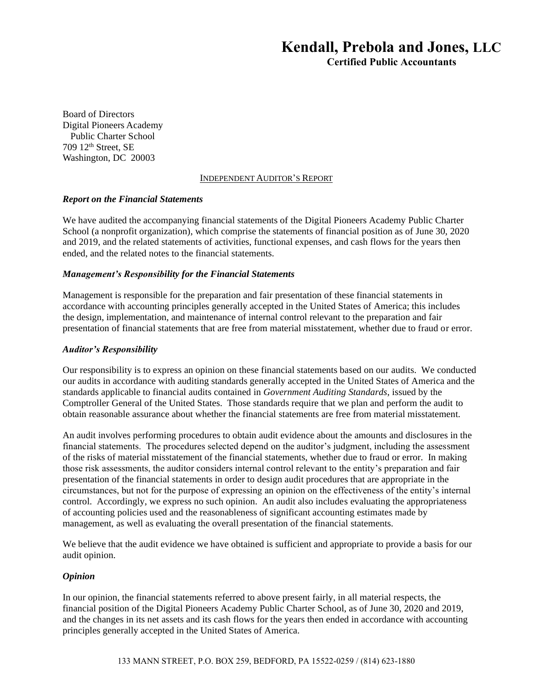# Kendall, Prebola and Jones, LLC

Certified Public Accountants

Board of Directors Digital Pioneers Academy Public Charter School 709 12th Street, SE Washington, DC 20003

#### INDEPENDENT AUDITOR'S REPORT

#### *Report on the Financial Statements*

We have audited the accompanying financial statements of the Digital Pioneers Academy Public Charter School (a nonprofit organization), which comprise the statements of financial position as of June 30, 2020 and 2019, and the related statements of activities, functional expenses, and cash flows for the years then ended, and the related notes to the financial statements.

#### *Management's Responsibility for the Financial Statements*

Management is responsible for the preparation and fair presentation of these financial statements in accordance with accounting principles generally accepted in the United States of America; this includes the design, implementation, and maintenance of internal control relevant to the preparation and fair presentation of financial statements that are free from material misstatement, whether due to fraud or error.

#### *Auditor's Responsibility*

Our responsibility is to express an opinion on these financial statements based on our audits. We conducted our audits in accordance with auditing standards generally accepted in the United States of America and the standards applicable to financial audits contained in *Government Auditing Standards*, issued by the Comptroller General of the United States. Those standards require that we plan and perform the audit to obtain reasonable assurance about whether the financial statements are free from material misstatement.

An audit involves performing procedures to obtain audit evidence about the amounts and disclosures in the financial statements. The procedures selected depend on the auditor's judgment, including the assessment of the risks of material misstatement of the financial statements, whether due to fraud or error. In making those risk assessments, the auditor considers internal control relevant to the entity's preparation and fair presentation of the financial statements in order to design audit procedures that are appropriate in the circumstances, but not for the purpose of expressing an opinion on the effectiveness of the entity's internal control. Accordingly, we express no such opinion. An audit also includes evaluating the appropriateness of accounting policies used and the reasonableness of significant accounting estimates made by management, as well as evaluating the overall presentation of the financial statements.

We believe that the audit evidence we have obtained is sufficient and appropriate to provide a basis for our audit opinion.

### *Opinion*

In our opinion, the financial statements referred to above present fairly, in all material respects, the financial position of the Digital Pioneers Academy Public Charter School, as of June 30, 2020 and 2019, and the changes in its net assets and its cash flows for the years then ended in accordance with accounting principles generally accepted in the United States of America.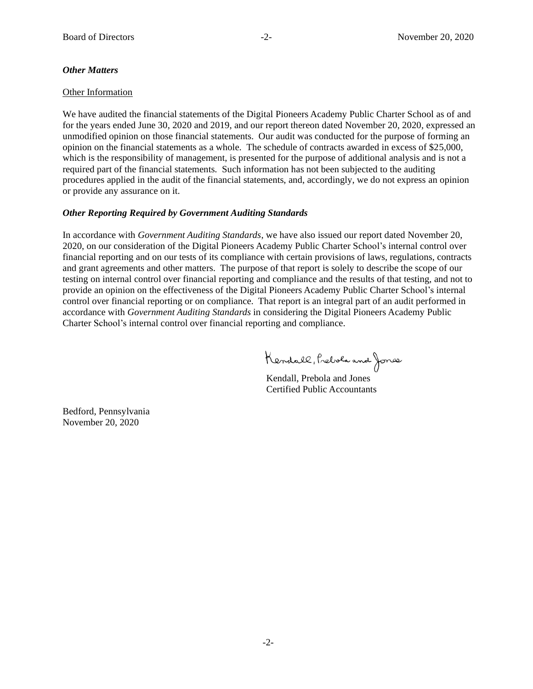#### *Other Matters*

#### Other Information

We have audited the financial statements of the Digital Pioneers Academy Public Charter School as of and for the years ended June 30, 2020 and 2019, and our report thereon dated November 20, 2020, expressed an unmodified opinion on those financial statements. Our audit was conducted for the purpose of forming an opinion on the financial statements as a whole. The schedule of contracts awarded in excess of \$25,000, which is the responsibility of management, is presented for the purpose of additional analysis and is not a required part of the financial statements. Such information has not been subjected to the auditing procedures applied in the audit of the financial statements, and, accordingly, we do not express an opinion or provide any assurance on it.

### *Other Reporting Required by Government Auditing Standards*

In accordance with *Government Auditing Standards*, we have also issued our report dated November 20, 2020, on our consideration of the Digital Pioneers Academy Public Charter School's internal control over financial reporting and on our tests of its compliance with certain provisions of laws, regulations, contracts and grant agreements and other matters. The purpose of that report is solely to describe the scope of our testing on internal control over financial reporting and compliance and the results of that testing, and not to provide an opinion on the effectiveness of the Digital Pioneers Academy Public Charter School's internal control over financial reporting or on compliance. That report is an integral part of an audit performed in accordance with *Government Auditing Standards* in considering the Digital Pioneers Academy Public Charter School's internal control over financial reporting and compliance.

Kendall, Prebola and Jones

Kendall, Prebola and Jones Certified Public Accountants

Bedford, Pennsylvania November 20, 2020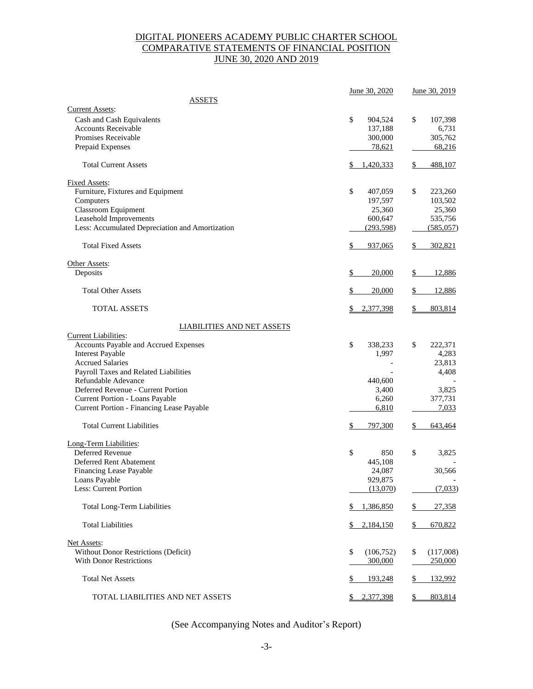### DIGITAL PIONEERS ACADEMY PUBLIC CHARTER SCHOOL COMPARATIVE STATEMENTS OF FINANCIAL POSITION JUNE 30, 2020 AND 2019

|                                                         | June 30, 2020      | June 30, 2019           |
|---------------------------------------------------------|--------------------|-------------------------|
| <b>ASSETS</b>                                           |                    |                         |
| <b>Current Assets:</b>                                  |                    |                         |
| Cash and Cash Equivalents<br><b>Accounts Receivable</b> | \$<br>904,524      | \$<br>107,398           |
| Promises Receivable                                     | 137,188<br>300,000 | 6,731<br>305,762        |
| Prepaid Expenses                                        | 78,621             | 68,216                  |
|                                                         |                    |                         |
| <b>Total Current Assets</b>                             | \$<br>1,420,333    | \$<br>488,107           |
| <b>Fixed Assets:</b>                                    |                    |                         |
| Furniture, Fixtures and Equipment                       | \$<br>407,059      | \$<br>223,260           |
| Computers                                               | 197,597            | 103,502                 |
| <b>Classroom Equipment</b>                              | 25,360             | 25,360                  |
| Leasehold Improvements                                  | 600,647            | 535,756                 |
| Less: Accumulated Depreciation and Amortization         | (293,598)          | (585, 057)              |
| <b>Total Fixed Assets</b>                               | \$<br>937,065      | 302,821<br>\$           |
| Other Assets:                                           |                    |                         |
| Deposits                                                | \$<br>20,000       | 12,886<br>\$            |
| <b>Total Other Assets</b>                               | \$<br>20,000       | 12,886<br>\$            |
| TOTAL ASSETS                                            | 2,377,398<br>S.    | \$<br>803,814           |
| <b>LIABILITIES AND NET ASSETS</b>                       |                    |                         |
| <b>Current Liabilities:</b>                             |                    |                         |
| Accounts Payable and Accrued Expenses                   | \$<br>338,233      | \$<br>222,371           |
| <b>Interest Payable</b>                                 | 1,997              | 4,283                   |
| <b>Accrued Salaries</b>                                 |                    | 23,813                  |
| Payroll Taxes and Related Liabilities                   |                    | 4,408                   |
| Refundable Adevance                                     | 440,600            |                         |
| Deferred Revenue - Current Portion                      | 3,400              | 3,825                   |
| Current Portion - Loans Payable                         | 6,260              | 377,731                 |
| Current Portion - Financing Lease Payable               | 6,810              | 7,033                   |
| <b>Total Current Liabilities</b>                        | \$<br>797,300      | \$<br>643,464           |
| Long-Term Liabilities:                                  |                    |                         |
| Deferred Revenue                                        | \$<br>850          | \$<br>3,825             |
| Deferred Rent Abatement                                 | 445,108            |                         |
| Financing Lease Payable                                 | 24,087             | 30,566                  |
| Loans Payable                                           | 929,875            |                         |
| Less: Current Portion                                   | (13,070)           | (7,033)                 |
| <b>Total Long-Term Liabilities</b>                      | 1,386,850<br>\$    | $\frac{1}{2}$<br>27,358 |
| <b>Total Liabilities</b>                                | \$<br>2,184,150    | \$<br>670,822           |
| Net Assets:                                             |                    |                         |
| Without Donor Restrictions (Deficit)                    | \$<br>(106, 752)   | \$<br>(117,008)         |
| <b>With Donor Restrictions</b>                          | 300,000            | 250,000                 |
|                                                         |                    |                         |
| <b>Total Net Assets</b>                                 | 193,248<br>\$      | 132,992<br>\$           |
| TOTAL LIABILITIES AND NET ASSETS                        | 2,377,398          | \$<br>803,814           |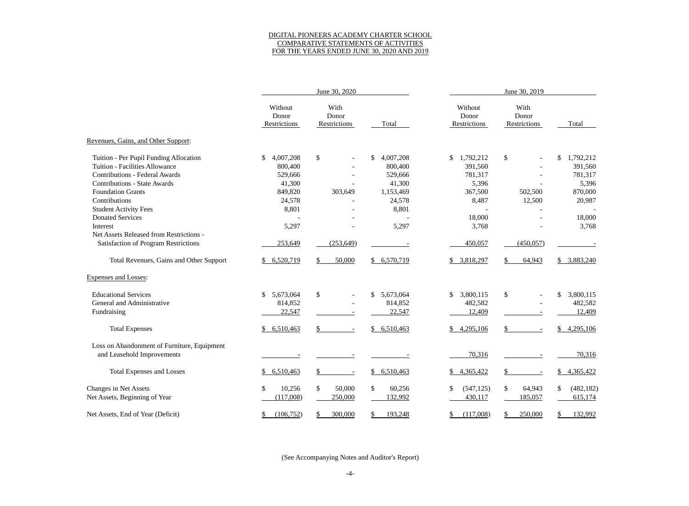### DIGITAL PIONEERS ACADEMY CHARTER SCHOOL COMPARATIVE STATEMENTS OF ACTIVITIES FOR THE YEARS ENDED JUNE 30, 2020 AND 2019

|                                             |                                  | June 30, 2020                 |                 |                                  |                               |                  |
|---------------------------------------------|----------------------------------|-------------------------------|-----------------|----------------------------------|-------------------------------|------------------|
|                                             | Without<br>Donor<br>Restrictions | With<br>Donor<br>Restrictions | Total           | Without<br>Donor<br>Restrictions | With<br>Donor<br>Restrictions | Total            |
| Revenues, Gains, and Other Support:         |                                  |                               |                 |                                  |                               |                  |
| Tuition - Per Pupil Funding Allocation      | $\mathbb{S}$<br>4,007,208        | $\mathcal{S}$                 | \$<br>4,007,208 | \$<br>1,792,212                  | \$                            | \$<br>1,792,212  |
| Tuition - Facilities Allowance              | 800,400                          |                               | 800,400         | 391,560                          |                               | 391,560          |
| <b>Contributions - Federal Awards</b>       | 529,666                          |                               | 529,666         | 781,317                          |                               | 781,317          |
| <b>Contributions - State Awards</b>         | 41,300                           |                               | 41,300          | 5,396                            |                               | 5,396            |
| <b>Foundation Grants</b>                    | 849,820                          | 303,649                       | 1,153,469       | 367,500                          | 502,500                       | 870,000          |
| Contributions                               | 24,578                           |                               | 24,578          | 8,487                            | 12,500                        | 20,987           |
| <b>Student Activity Fees</b>                | 8,801                            |                               | 8,801           |                                  |                               |                  |
| <b>Donated Services</b>                     |                                  |                               |                 | 18,000                           |                               | 18,000           |
| Interest                                    | 5,297                            |                               | 5,297           | 3,768                            |                               | 3,768            |
| Net Assets Released from Restrictions -     |                                  |                               |                 |                                  |                               |                  |
| <b>Satisfaction of Program Restrictions</b> | 253,649                          | (253, 649)                    |                 | 450,057                          | (450, 057)                    |                  |
| Total Revenues, Gains and Other Support     | 6,520,719                        | 50,000                        | 6,570,719       | 3,818,297                        | 64,943                        | 3,883,240        |
| <b>Expenses and Losses:</b>                 |                                  |                               |                 |                                  |                               |                  |
| <b>Educational Services</b>                 | 5,673,064<br>\$                  | $\boldsymbol{\mathsf{S}}$     | \$<br>5,673,064 | \$<br>3,800,115                  | $\mathcal{S}$                 | 3,800,115<br>\$  |
| General and Administrative                  | 814,852                          | $\overline{a}$                | 814,852         | 482,582                          |                               | 482,582          |
| Fundraising                                 | 22,547                           |                               | 22,547          | 12,409                           |                               | 12,409           |
| <b>Total Expenses</b>                       | 6,510,463<br>\$                  |                               | \$<br>6,510,463 | <u>\$</u><br>4,295,106           |                               | \$<br>4,295,106  |
| Loss on Abandonment of Furniture, Equipment |                                  |                               |                 |                                  |                               |                  |
| and Leasehold Improvements                  |                                  |                               |                 | 70,316                           |                               | 70,316           |
| <b>Total Expenses and Losses</b>            | 6,510,463<br>\$                  |                               | 6,510,463<br>\$ | 4,365,422<br><u>\$</u>           |                               | 4,365,422<br>\$  |
| <b>Changes in Net Assets</b>                | 10,256<br>\$                     | \$<br>50,000                  | \$<br>60,256    | \$<br>(547, 125)                 | \$<br>64,943                  | (482, 182)<br>\$ |
| Net Assets, Beginning of Year               | (117,008)                        | 250,000                       | 132,992         | 430,117                          | 185,057                       | 615,174          |
| Net Assets, End of Year (Deficit)           | (106, 752)<br>\$                 | 300,000                       | 193,248         | \$<br>(117,008)                  | 250,000                       | 132,992          |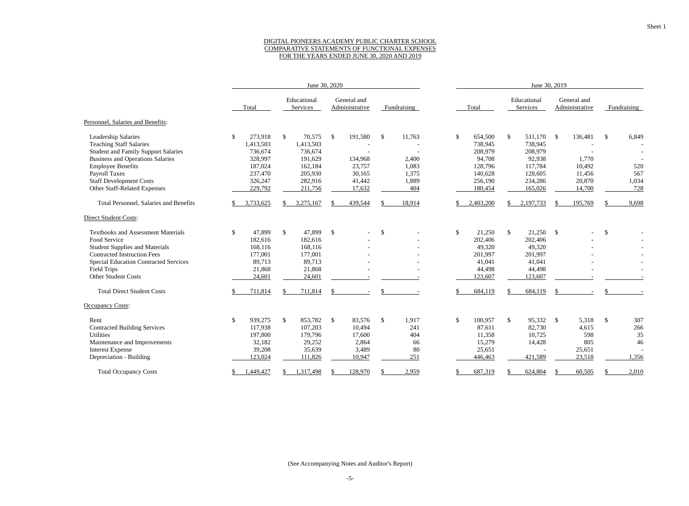#### DIGITAL PIONEERS ACADEMY PUBLIC CHARTER SCHOOL COMPARATIVE STATEMENTS OF FUNCTIONAL EXPENSES FOR THE YEARS ENDED JUNE 30, 2020 AND 2019

|                                              | June 30, 2020 |              |                         |               |                               |               |             |              | June 30, 2019 |               |                         |               |                               |               |             |
|----------------------------------------------|---------------|--------------|-------------------------|---------------|-------------------------------|---------------|-------------|--------------|---------------|---------------|-------------------------|---------------|-------------------------------|---------------|-------------|
|                                              | Total         |              | Educational<br>Services |               | General and<br>Administrative |               | Fundraising |              | Total         |               | Educational<br>Services |               | General and<br>Administrative |               | Fundraising |
| Personnel, Salaries and Benefits:            |               |              |                         |               |                               |               |             |              |               |               |                         |               |                               |               |             |
| Leadership Salaries                          | \$<br>273,918 |              | 70,575<br>\$            | $\mathcal{S}$ | 191,580                       | $\mathcal{S}$ | 11,763      | \$           | 654,500       | $\mathcal{S}$ | 511,170                 | -\$           | 136,481                       | $\mathbb{S}$  | 6,849       |
| <b>Teaching Staff Salaries</b>               | 1,413,503     |              | 1,413,503               |               |                               |               |             |              | 738,945       |               | 738,945                 |               |                               |               |             |
| <b>Student and Family Support Salaries</b>   | 736,674       |              | 736,674                 |               |                               |               |             |              | 208,979       |               | 208,979                 |               |                               |               |             |
| <b>Business and Operations Salaries</b>      | 328,997       |              | 191,629                 |               | 134,968                       |               | 2,400       |              | 94,708        |               | 92,938                  |               | 1,770                         |               |             |
| <b>Employee Benefits</b>                     | 187,024       |              | 162,184                 |               | 23,757                        |               | 1,083       |              | 128,796       |               | 117,784                 |               | 10,492                        |               | 520         |
| Payroll Taxes                                | 237,470       |              | 205,930                 |               | 30,165                        |               | 1,375       |              | 140,628       |               | 128,605                 |               | 11,456                        |               | 567         |
| <b>Staff Development Costs</b>               | 326,247       |              | 282,916                 |               | 41,442                        |               | 1,889       |              | 256,190       |               | 234,286                 |               | 20,870                        |               | 1,034       |
| Other Staff-Related Expenses                 | 229,792       |              | 211,756                 |               | 17,632                        |               | 404         |              | 180,454       |               | 165,026                 |               | 14,700                        |               | 728         |
| Total Personnel, Salaries and Benefits       | 3,733,625     |              | 3,275,167               |               | 439,544                       |               | 18,914      |              | 2,403,200     |               | 2,197,733               | -S            | 195,769                       |               | 9,698       |
| <b>Direct Student Costs:</b>                 |               |              |                         |               |                               |               |             |              |               |               |                         |               |                               |               |             |
| <b>Textbooks and Assessment Materials</b>    | 47,899<br>\$  |              | 47,899<br>$\mathbb{S}$  | $\mathcal{S}$ |                               | $\mathbb{S}$  |             | $\mathbb{S}$ | 21,250        | $\mathbb{S}$  | 21,250                  | $\mathcal{S}$ |                               | <sup>\$</sup> |             |
| Food Service                                 | 182,616       |              | 182,616                 |               |                               |               |             |              | 202,406       |               | 202,406                 |               |                               |               |             |
| <b>Student Supplies and Materials</b>        | 168,116       |              | 168,116                 |               |                               |               |             |              | 49,320        |               | 49,320                  |               |                               |               |             |
| <b>Contracted Instruction Fees</b>           | 177,001       |              | 177,001                 |               |                               |               |             |              | 201,997       |               | 201,997                 |               |                               |               |             |
| <b>Special Education Contracted Services</b> | 89,713        |              | 89,713                  |               |                               |               |             |              | 41,041        |               | 41,041                  |               |                               |               |             |
| Field Trips                                  | 21,868        |              | 21,868                  |               |                               |               |             |              | 44,498        |               | 44,498                  |               |                               |               |             |
| Other Student Costs                          | 24,601        |              | 24,601                  |               |                               |               |             |              | 123,607       |               | 123,607                 |               |                               |               |             |
| <b>Total Direct Student Costs</b>            | 711,814       |              | 711,814                 |               |                               |               |             |              | 684,119       |               | 684,119                 |               |                               |               |             |
| <b>Occupancy Costs:</b>                      |               |              |                         |               |                               |               |             |              |               |               |                         |               |                               |               |             |
| Rent                                         | 939,275<br>\$ | $\mathbb{S}$ | 853,782                 | $\mathcal{S}$ | 83,576                        | $\mathbb{S}$  | 1,917       | $\mathbb{S}$ | 100,957       | $\mathbb{S}$  | 95,332                  | $\mathcal{S}$ | 5,318                         | $\mathbb{S}$  | 307         |
| <b>Contracted Building Services</b>          | 117,938       |              | 107,203                 |               | 10,494                        |               | 241         |              | 87,611        |               | 82,730                  |               | 4,615                         |               | 266         |
| Utilities                                    | 197,800       |              | 179,796                 |               | 17,600                        |               | 404         |              | 11,358        |               | 10,725                  |               | 598                           |               | 35          |
| Maintenance and Improvements                 | 32,182        |              | 29,252                  |               | 2,864                         |               | 66          |              | 15,279        |               | 14,428                  |               | 805                           |               | 46          |
| <b>Interest Expense</b>                      | 39,208        |              | 35,639                  |               | 3,489                         |               | 80          |              | 25,651        |               |                         |               | 25,651                        |               |             |
| Depreciation - Building                      | 123,024       |              | 111,826                 |               | 10,947                        |               | 251         |              | 446,463       |               | 421,589                 |               | 23,518                        |               | 1,356       |
| <b>Total Occupancy Costs</b>                 | 1,449,427     |              | 1,317,498               |               | 128,970                       |               | 2,959       |              | 687,319       |               | 624,804                 |               | 60,505                        |               | 2,010       |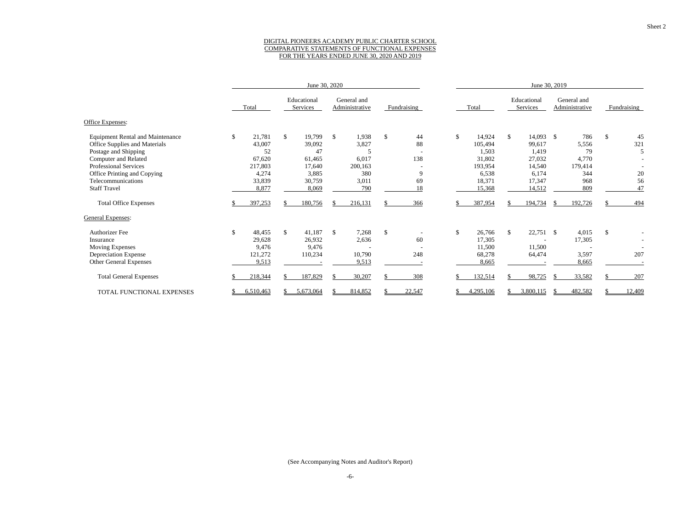#### DIGITAL PIONEERS ACADEMY PUBLIC CHARTER SCHOOL COMPARATIVE STATEMENTS OF FUNCTIONAL EXPENSES FOR THE YEARS ENDED JUNE 30, 2020 AND 2019

|                                         |              |              | June 30, 2020           |               |                               |               |             |              |               | June 30, 2019           |    |                               |              |             |
|-----------------------------------------|--------------|--------------|-------------------------|---------------|-------------------------------|---------------|-------------|--------------|---------------|-------------------------|----|-------------------------------|--------------|-------------|
|                                         | Total        |              | Educational<br>Services |               | General and<br>Administrative |               | Fundraising | Total        |               | Educational<br>Services |    | General and<br>Administrative |              | Fundraising |
| Office Expenses:                        |              |              |                         |               |                               |               |             |              |               |                         |    |                               |              |             |
| <b>Equipment Rental and Maintenance</b> | \$<br>21,781 | $\mathbb{S}$ | 19,799                  | $\mathcal{S}$ | 1,938                         | \$            | 44          | \$<br>14,924 | <sup>\$</sup> | $14,093$ \$             |    | 786                           | $\mathbb{S}$ | 45          |
| Office Supplies and Materials           | 43,007       |              | 39,092                  |               | 3,827                         |               | 88          | 105,494      |               | 99,617                  |    | 5,556                         |              | 321         |
| Postage and Shipping                    | 52           |              | 47                      |               |                               |               |             | 1,503        |               | 1,419                   |    | 79                            |              | 5           |
| Computer and Related                    | 67,620       |              | 61,465                  |               | 6,017                         |               | 138         | 31,802       |               | 27,032                  |    | 4,770                         |              |             |
| Professional Services                   | 217,803      |              | 17,640                  |               | 200,163                       |               |             | 193,954      |               | 14,540                  |    | 179,414                       |              |             |
| Office Printing and Copying             | 4,274        |              | 3,885                   |               | 380                           |               | 9           | 6,538        |               | 6,174                   |    | 344                           |              | 20          |
| Telecommunications                      | 33,839       |              | 30,759                  |               | 3,011                         |               | 69          | 18,371       |               | 17,347                  |    | 968                           |              | 56          |
| <b>Staff Travel</b>                     | 8,877        |              | 8,069                   |               | 790                           |               | 18          | 15,368       |               | 14,512                  |    | 809                           |              | 47          |
| <b>Total Office Expenses</b>            | 397,253      |              | 180,756                 |               | 216,131                       |               | 366         | 387,954      |               | 194,734                 | -S | 192,726                       |              | 494         |
| <b>General Expenses:</b>                |              |              |                         |               |                               |               |             |              |               |                         |    |                               |              |             |
| <b>Authorizer Fee</b>                   | \$<br>48,455 | $\mathbb{S}$ | 41,187                  | $\mathbb{S}$  | 7,268                         | $\mathsf{\$}$ |             | \$<br>26,766 | -S            | $22,751$ \$             |    | 4,015                         | $\mathbb{S}$ |             |
| Insurance                               | 29,628       |              | 26,932                  |               | 2,636                         |               | 60          | 17,305       |               |                         |    | 17,305                        |              |             |
| <b>Moving Expenses</b>                  | 9,476        |              | 9,476                   |               | $\overline{\phantom{a}}$      |               |             | 11,500       |               | 11,500                  |    |                               |              |             |
| <b>Depreciation Expense</b>             | 121,272      |              | 110,234                 |               | 10,790                        |               | 248         | 68,278       |               | 64,474                  |    | 3,597                         |              | 207         |
| Other General Expenses                  | 9,513        |              |                         |               | 9,513                         |               |             | 8,665        |               |                         |    | 8,665                         |              |             |
| <b>Total General Expenses</b>           | 218,344      |              | 187,829                 |               | 30,207                        |               | 308         | 132,514      |               | 98,725                  | -S | 33,582                        |              | 207         |
| TOTAL FUNCTIONAL EXPENSES               | 6,510,463    |              | 5,673,064               |               | 814,852                       |               | 22,547      | 4,295,106    |               | 3,800,115               |    | 482,582                       |              | 12,409      |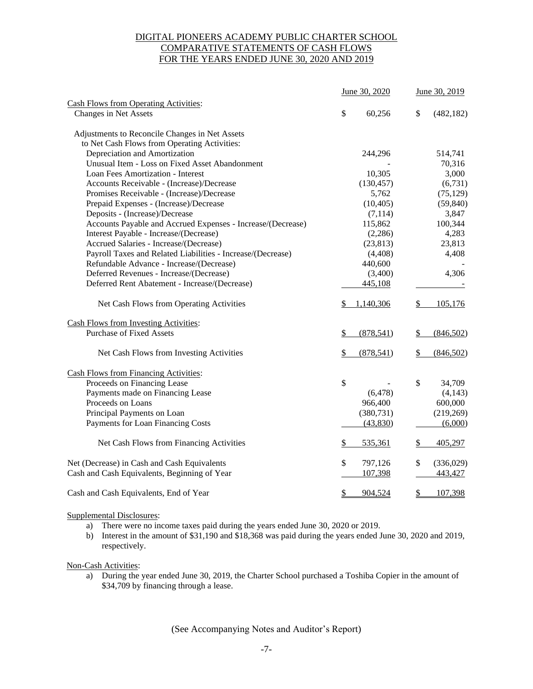### DIGITAL PIONEERS ACADEMY PUBLIC CHARTER SCHOOL COMPARATIVE STATEMENTS OF CASH FLOWS FOR THE YEARS ENDED JUNE 30, 2020 AND 2019

|                                                                       |     | June 30, 2020 | June 30, 2019 |            |  |  |
|-----------------------------------------------------------------------|-----|---------------|---------------|------------|--|--|
| <b>Cash Flows from Operating Activities:</b><br>Changes in Net Assets | \$  | 60,256        | \$            | (482, 182) |  |  |
|                                                                       |     |               |               |            |  |  |
| Adjustments to Reconcile Changes in Net Assets                        |     |               |               |            |  |  |
| to Net Cash Flows from Operating Activities:                          |     |               |               |            |  |  |
| Depreciation and Amortization                                         |     | 244,296       |               | 514,741    |  |  |
| Unusual Item - Loss on Fixed Asset Abandonment                        |     |               |               | 70,316     |  |  |
| Loan Fees Amortization - Interest                                     |     | 10,305        |               | 3,000      |  |  |
| Accounts Receivable - (Increase)/Decrease                             |     | (130, 457)    |               | (6,731)    |  |  |
| Promises Receivable - (Increase)/Decrease                             |     | 5,762         |               | (75, 129)  |  |  |
| Prepaid Expenses - (Increase)/Decrease                                |     | (10, 405)     |               | (59, 840)  |  |  |
| Deposits - (Increase)/Decrease                                        |     | (7,114)       |               | 3,847      |  |  |
| Accounts Payable and Accrued Expenses - Increase/(Decrease)           |     | 115,862       |               | 100,344    |  |  |
| Interest Payable - Increase/(Decrease)                                |     | (2,286)       |               | 4,283      |  |  |
| Accrued Salaries - Increase/(Decrease)                                |     | (23, 813)     |               | 23,813     |  |  |
| Payroll Taxes and Related Liabilities - Increase/(Decrease)           |     | (4, 408)      |               | 4,408      |  |  |
| Refundable Advance - Increase/(Decrease)                              |     | 440,600       |               |            |  |  |
| Deferred Revenues - Increase/(Decrease)                               |     | (3,400)       |               | 4,306      |  |  |
| Deferred Rent Abatement - Increase/(Decrease)                         |     | 445,108       |               |            |  |  |
| Net Cash Flows from Operating Activities                              | \$. | 1,140,306     | $\frac{1}{2}$ | 105,176    |  |  |
| <b>Cash Flows from Investing Activities:</b>                          |     |               |               |            |  |  |
| <b>Purchase of Fixed Assets</b>                                       | \$  | (878, 541)    | \$            | (846,502)  |  |  |
| Net Cash Flows from Investing Activities                              | \$  | (878, 541)    | \$            | (846, 502) |  |  |
| <b>Cash Flows from Financing Activities:</b>                          |     |               |               |            |  |  |
| Proceeds on Financing Lease                                           | \$  |               | \$            | 34,709     |  |  |
| Payments made on Financing Lease                                      |     | (6, 478)      |               | (4, 143)   |  |  |
| Proceeds on Loans                                                     |     | 966,400       |               | 600,000    |  |  |
| Principal Payments on Loan                                            |     | (380, 731)    |               | (219, 269) |  |  |
| Payments for Loan Financing Costs                                     |     | (43,830)      |               | (6,000)    |  |  |
| Net Cash Flows from Financing Activities                              | S   | 535,361       | \$            | 405,297    |  |  |
| Net (Decrease) in Cash and Cash Equivalents                           | \$  | 797,126       | \$            | (336,029)  |  |  |
| Cash and Cash Equivalents, Beginning of Year                          |     | 107,398       |               | 443,427    |  |  |
| Cash and Cash Equivalents, End of Year                                | \$  | 904,524       | \$            | 107,398    |  |  |

#### Supplemental Disclosures:

- a) There were no income taxes paid during the years ended June 30, 2020 or 2019.
- b) Interest in the amount of \$31,190 and \$18,368 was paid during the years ended June 30, 2020 and 2019, respectively.

#### Non-Cash Activities:

a) During the year ended June 30, 2019, the Charter School purchased a Toshiba Copier in the amount of \$34,709 by financing through a lease.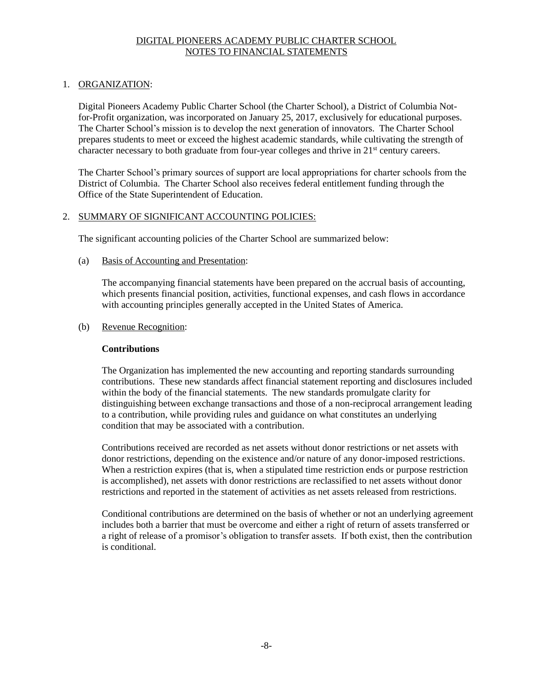### 1. ORGANIZATION:

Digital Pioneers Academy Public Charter School (the Charter School), a District of Columbia Notfor-Profit organization, was incorporated on January 25, 2017, exclusively for educational purposes. The Charter School's mission is to develop the next generation of innovators. The Charter School prepares students to meet or exceed the highest academic standards, while cultivating the strength of character necessary to both graduate from four-year colleges and thrive in 21<sup>st</sup> century careers.

The Charter School's primary sources of support are local appropriations for charter schools from the District of Columbia. The Charter School also receives federal entitlement funding through the Office of the State Superintendent of Education.

### 2. SUMMARY OF SIGNIFICANT ACCOUNTING POLICIES:

The significant accounting policies of the Charter School are summarized below:

### (a) Basis of Accounting and Presentation:

The accompanying financial statements have been prepared on the accrual basis of accounting, which presents financial position, activities, functional expenses, and cash flows in accordance with accounting principles generally accepted in the United States of America.

### (b) Revenue Recognition:

### **Contributions**

 The Organization has implemented the new accounting and reporting standards surrounding contributions. These new standards affect financial statement reporting and disclosures included within the body of the financial statements. The new standards promulgate clarity for distinguishing between exchange transactions and those of a non-reciprocal arrangement leading to a contribution, while providing rules and guidance on what constitutes an underlying condition that may be associated with a contribution.

Contributions received are recorded as net assets without donor restrictions or net assets with donor restrictions, depending on the existence and/or nature of any donor-imposed restrictions. When a restriction expires (that is, when a stipulated time restriction ends or purpose restriction is accomplished), net assets with donor restrictions are reclassified to net assets without donor restrictions and reported in the statement of activities as net assets released from restrictions.

Conditional contributions are determined on the basis of whether or not an underlying agreement includes both a barrier that must be overcome and either a right of return of assets transferred or a right of release of a promisor's obligation to transfer assets. If both exist, then the contribution is conditional.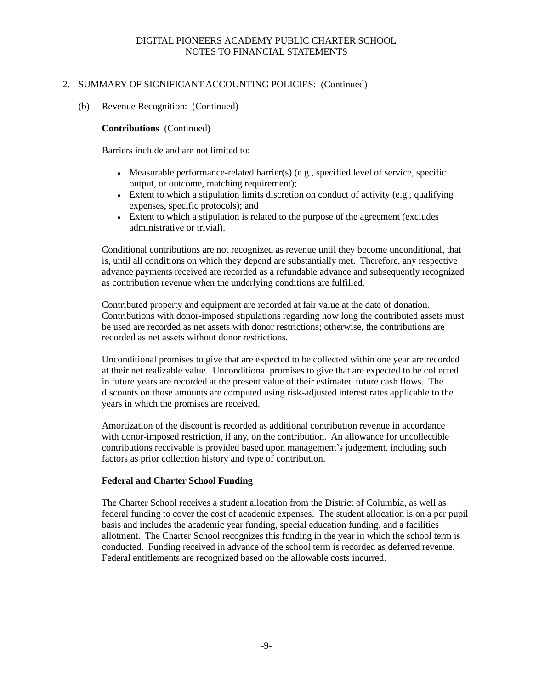### 2. SUMMARY OF SIGNIFICANT ACCOUNTING POLICIES: (Continued)

#### (b) Revenue Recognition: (Continued)

#### **Contributions** (Continued)

Barriers include and are not limited to:

- Measurable performance-related barrier(s) (e.g., specified level of service, specific output, or outcome, matching requirement);
- Extent to which a stipulation limits discretion on conduct of activity (e.g., qualifying expenses, specific protocols); and
- Extent to which a stipulation is related to the purpose of the agreement (excludes administrative or trivial).

Conditional contributions are not recognized as revenue until they become unconditional, that is, until all conditions on which they depend are substantially met. Therefore, any respective advance payments received are recorded as a refundable advance and subsequently recognized as contribution revenue when the underlying conditions are fulfilled.

Contributed property and equipment are recorded at fair value at the date of donation. Contributions with donor-imposed stipulations regarding how long the contributed assets must be used are recorded as net assets with donor restrictions; otherwise, the contributions are recorded as net assets without donor restrictions.

Unconditional promises to give that are expected to be collected within one year are recorded at their net realizable value. Unconditional promises to give that are expected to be collected in future years are recorded at the present value of their estimated future cash flows. The discounts on those amounts are computed using risk-adjusted interest rates applicable to the years in which the promises are received.

Amortization of the discount is recorded as additional contribution revenue in accordance with donor-imposed restriction, if any, on the contribution. An allowance for uncollectible contributions receivable is provided based upon management's judgement, including such factors as prior collection history and type of contribution.

### **Federal and Charter School Funding**

The Charter School receives a student allocation from the District of Columbia, as well as federal funding to cover the cost of academic expenses. The student allocation is on a per pupil basis and includes the academic year funding, special education funding, and a facilities allotment. The Charter School recognizes this funding in the year in which the school term is conducted. Funding received in advance of the school term is recorded as deferred revenue. Federal entitlements are recognized based on the allowable costs incurred.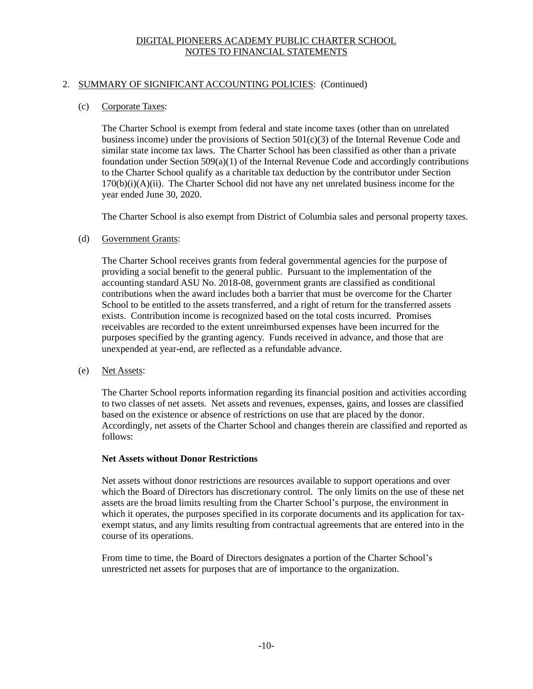### 2. SUMMARY OF SIGNIFICANT ACCOUNTING POLICIES: (Continued)

### (c) Corporate Taxes:

The Charter School is exempt from federal and state income taxes (other than on unrelated business income) under the provisions of Section  $501(c)(3)$  of the Internal Revenue Code and similar state income tax laws. The Charter School has been classified as other than a private foundation under Section  $509(a)(1)$  of the Internal Revenue Code and accordingly contributions to the Charter School qualify as a charitable tax deduction by the contributor under Section  $170(b)(i)(A)(ii)$ . The Charter School did not have any net unrelated business income for the year ended June 30, 2020.

The Charter School is also exempt from District of Columbia sales and personal property taxes.

### (d) Government Grants:

The Charter School receives grants from federal governmental agencies for the purpose of providing a social benefit to the general public. Pursuant to the implementation of the accounting standard ASU No. 2018-08, government grants are classified as conditional contributions when the award includes both a barrier that must be overcome for the Charter School to be entitled to the assets transferred, and a right of return for the transferred assets exists. Contribution income is recognized based on the total costs incurred. Promises receivables are recorded to the extent unreimbursed expenses have been incurred for the purposes specified by the granting agency. Funds received in advance, and those that are unexpended at year-end, are reflected as a refundable advance.

(e) Net Assets:

The Charter School reports information regarding its financial position and activities according to two classes of net assets. Net assets and revenues, expenses, gains, and losses are classified based on the existence or absence of restrictions on use that are placed by the donor. Accordingly, net assets of the Charter School and changes therein are classified and reported as follows:

### **Net Assets without Donor Restrictions**

Net assets without donor restrictions are resources available to support operations and over which the Board of Directors has discretionary control. The only limits on the use of these net assets are the broad limits resulting from the Charter School's purpose, the environment in which it operates, the purposes specified in its corporate documents and its application for taxexempt status, and any limits resulting from contractual agreements that are entered into in the course of its operations.

From time to time, the Board of Directors designates a portion of the Charter School's unrestricted net assets for purposes that are of importance to the organization.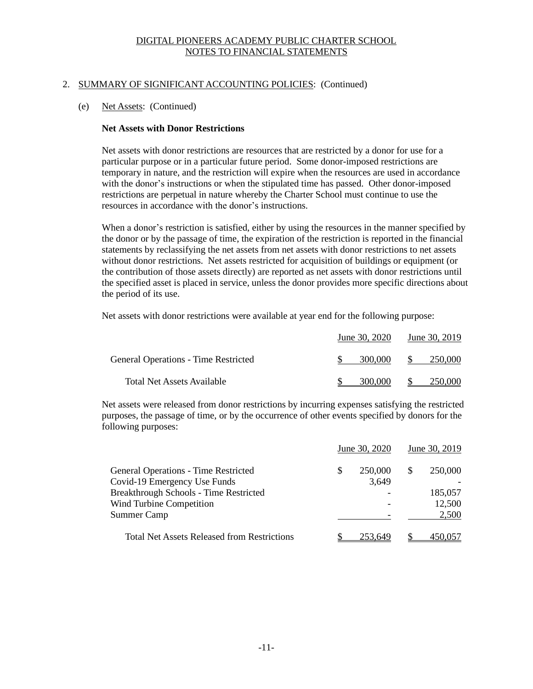### 2. SUMMARY OF SIGNIFICANT ACCOUNTING POLICIES: (Continued)

#### (e) Net Assets: (Continued)

#### **Net Assets with Donor Restrictions**

Net assets with donor restrictions are resources that are restricted by a donor for use for a particular purpose or in a particular future period. Some donor-imposed restrictions are temporary in nature, and the restriction will expire when the resources are used in accordance with the donor's instructions or when the stipulated time has passed. Other donor-imposed restrictions are perpetual in nature whereby the Charter School must continue to use the resources in accordance with the donor's instructions.

When a donor's restriction is satisfied, either by using the resources in the manner specified by the donor or by the passage of time, the expiration of the restriction is reported in the financial statements by reclassifying the net assets from net assets with donor restrictions to net assets without donor restrictions. Net assets restricted for acquisition of buildings or equipment (or the contribution of those assets directly) are reported as net assets with donor restrictions until the specified asset is placed in service, unless the donor provides more specific directions about the period of its use.

Net assets with donor restrictions were available at year end for the following purpose:

|                                             | <u>June 30, 2020</u> | June 30, 2019 |
|---------------------------------------------|----------------------|---------------|
| <b>General Operations - Time Restricted</b> | 300,000              | -S<br>250,000 |
| <b>Total Net Assets Available</b>           | 300,000              | 250.000       |

Net assets were released from donor restrictions by incurring expenses satisfying the restricted purposes, the passage of time, or by the occurrence of other events specified by donors for the following purposes:

|                                                    |   | June 30, 2020 |   | June 30, 2019 |
|----------------------------------------------------|---|---------------|---|---------------|
| <b>General Operations - Time Restricted</b>        | S | 250,000       | S | 250,000       |
| Covid-19 Emergency Use Funds                       |   | 3,649         |   |               |
| <b>Breakthrough Schools - Time Restricted</b>      |   |               |   | 185,057       |
| Wind Turbine Competition                           |   |               |   | 12,500        |
| <b>Summer Camp</b>                                 |   |               |   | 2,500         |
| <b>Total Net Assets Released from Restrictions</b> |   | 253.649       |   |               |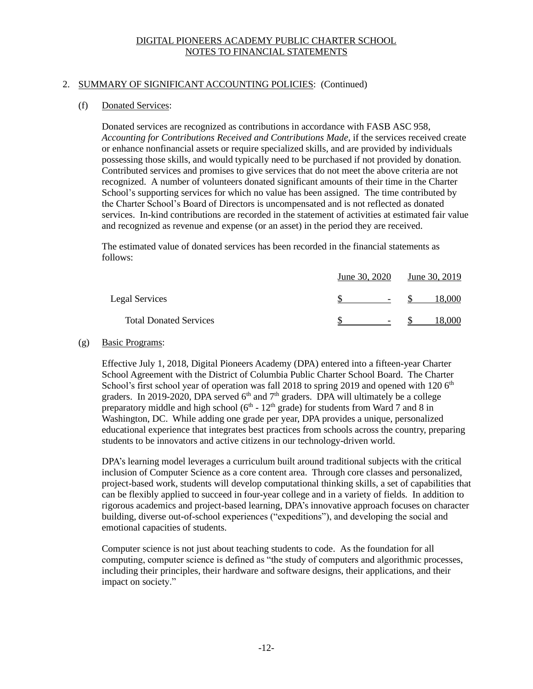### 2. SUMMARY OF SIGNIFICANT ACCOUNTING POLICIES: (Continued)

### (f) Donated Services:

Donated services are recognized as contributions in accordance with FASB ASC 958, *Accounting for Contributions Received and Contributions Made*, if the services received create or enhance nonfinancial assets or require specialized skills, and are provided by individuals possessing those skills, and would typically need to be purchased if not provided by donation. Contributed services and promises to give services that do not meet the above criteria are not recognized. A number of volunteers donated significant amounts of their time in the Charter School's supporting services for which no value has been assigned. The time contributed by the Charter School's Board of Directors is uncompensated and is not reflected as donated services. In-kind contributions are recorded in the statement of activities at estimated fair value and recognized as revenue and expense (or an asset) in the period they are received.

The estimated value of donated services has been recorded in the financial statements as follows:

|                               | June 30, 2020            | June 30, 2019 |
|-------------------------------|--------------------------|---------------|
| Legal Services                | $\overline{\phantom{0}}$ | 18.000        |
| <b>Total Donated Services</b> | $\overline{\phantom{0}}$ | 8.000         |

#### (g) Basic Programs:

Effective July 1, 2018, Digital Pioneers Academy (DPA) entered into a fifteen-year Charter School Agreement with the District of Columbia Public Charter School Board. The Charter School's first school year of operation was fall 2018 to spring 2019 and opened with 120  $6<sup>th</sup>$ graders. In 2019-2020, DPA served  $6<sup>th</sup>$  and  $7<sup>th</sup>$  graders. DPA will ultimately be a college preparatory middle and high school ( $6<sup>th</sup>$  -  $12<sup>th</sup>$  grade) for students from Ward 7 and 8 in Washington, DC. While adding one grade per year, DPA provides a unique, personalized educational experience that integrates best practices from schools across the country, preparing students to be innovators and active citizens in our technology-driven world.

DPA's learning model leverages a curriculum built around traditional subjects with the critical inclusion of Computer Science as a core content area. Through core classes and personalized, project-based work, students will develop computational thinking skills, a set of capabilities that can be flexibly applied to succeed in four-year college and in a variety of fields. In addition to rigorous academics and project-based learning, DPA's innovative approach focuses on character building, diverse out-of-school experiences ("expeditions"), and developing the social and emotional capacities of students.

Computer science is not just about teaching students to code. As the foundation for all computing, computer science is defined as "the study of computers and algorithmic processes, including their principles, their hardware and software designs, their applications, and their impact on society."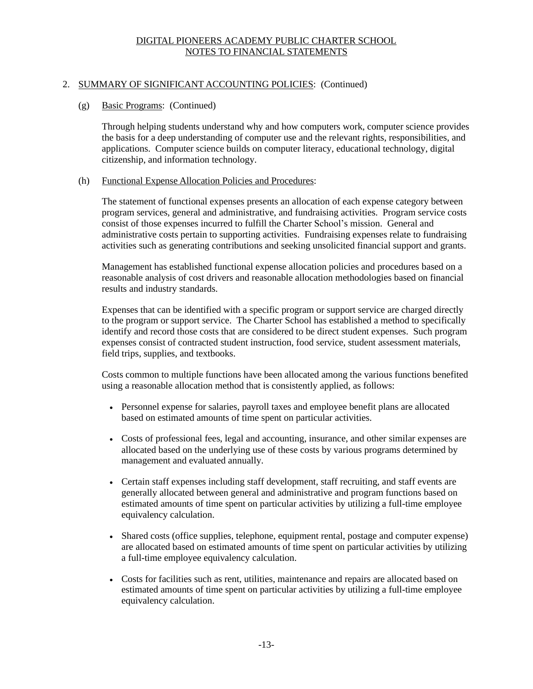### 2. SUMMARY OF SIGNIFICANT ACCOUNTING POLICIES: (Continued)

### (g) Basic Programs: (Continued)

Through helping students understand why and how computers work, computer science provides the basis for a deep understanding of computer use and the relevant rights, responsibilities, and applications. Computer science builds on computer literacy, educational technology, digital citizenship, and information technology.

#### (h) Functional Expense Allocation Policies and Procedures:

The statement of functional expenses presents an allocation of each expense category between program services, general and administrative, and fundraising activities. Program service costs consist of those expenses incurred to fulfill the Charter School's mission. General and administrative costs pertain to supporting activities. Fundraising expenses relate to fundraising activities such as generating contributions and seeking unsolicited financial support and grants.

Management has established functional expense allocation policies and procedures based on a reasonable analysis of cost drivers and reasonable allocation methodologies based on financial results and industry standards.

Expenses that can be identified with a specific program or support service are charged directly to the program or support service. The Charter School has established a method to specifically identify and record those costs that are considered to be direct student expenses. Such program expenses consist of contracted student instruction, food service, student assessment materials, field trips, supplies, and textbooks.

Costs common to multiple functions have been allocated among the various functions benefited using a reasonable allocation method that is consistently applied, as follows:

- Personnel expense for salaries, payroll taxes and employee benefit plans are allocated based on estimated amounts of time spent on particular activities.
- Costs of professional fees, legal and accounting, insurance, and other similar expenses are allocated based on the underlying use of these costs by various programs determined by management and evaluated annually.
- Certain staff expenses including staff development, staff recruiting, and staff events are generally allocated between general and administrative and program functions based on estimated amounts of time spent on particular activities by utilizing a full-time employee equivalency calculation.
- Shared costs (office supplies, telephone, equipment rental, postage and computer expense) are allocated based on estimated amounts of time spent on particular activities by utilizing a full-time employee equivalency calculation.
- Costs for facilities such as rent, utilities, maintenance and repairs are allocated based on estimated amounts of time spent on particular activities by utilizing a full-time employee equivalency calculation.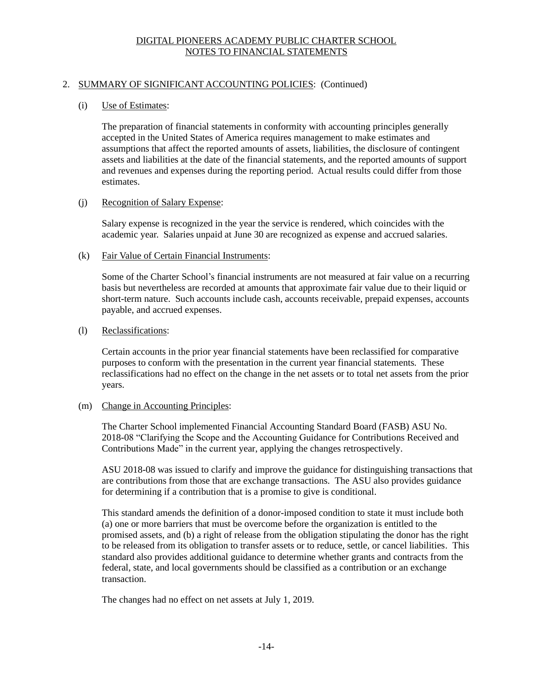### 2. SUMMARY OF SIGNIFICANT ACCOUNTING POLICIES: (Continued)

### (i) Use of Estimates:

The preparation of financial statements in conformity with accounting principles generally accepted in the United States of America requires management to make estimates and assumptions that affect the reported amounts of assets, liabilities, the disclosure of contingent assets and liabilities at the date of the financial statements, and the reported amounts of support and revenues and expenses during the reporting period. Actual results could differ from those estimates.

#### (j) Recognition of Salary Expense:

Salary expense is recognized in the year the service is rendered, which coincides with the academic year. Salaries unpaid at June 30 are recognized as expense and accrued salaries.

#### (k) Fair Value of Certain Financial Instruments:

Some of the Charter School's financial instruments are not measured at fair value on a recurring basis but nevertheless are recorded at amounts that approximate fair value due to their liquid or short-term nature. Such accounts include cash, accounts receivable, prepaid expenses, accounts payable, and accrued expenses.

#### (l) Reclassifications:

Certain accounts in the prior year financial statements have been reclassified for comparative purposes to conform with the presentation in the current year financial statements. These reclassifications had no effect on the change in the net assets or to total net assets from the prior years.

### (m) Change in Accounting Principles:

The Charter School implemented Financial Accounting Standard Board (FASB) ASU No. 2018-08 "Clarifying the Scope and the Accounting Guidance for Contributions Received and Contributions Made" in the current year, applying the changes retrospectively.

ASU 2018-08 was issued to clarify and improve the guidance for distinguishing transactions that are contributions from those that are exchange transactions. The ASU also provides guidance for determining if a contribution that is a promise to give is conditional.

This standard amends the definition of a donor-imposed condition to state it must include both (a) one or more barriers that must be overcome before the organization is entitled to the promised assets, and (b) a right of release from the obligation stipulating the donor has the right to be released from its obligation to transfer assets or to reduce, settle, or cancel liabilities. This standard also provides additional guidance to determine whether grants and contracts from the federal, state, and local governments should be classified as a contribution or an exchange transaction.

The changes had no effect on net assets at July 1, 2019.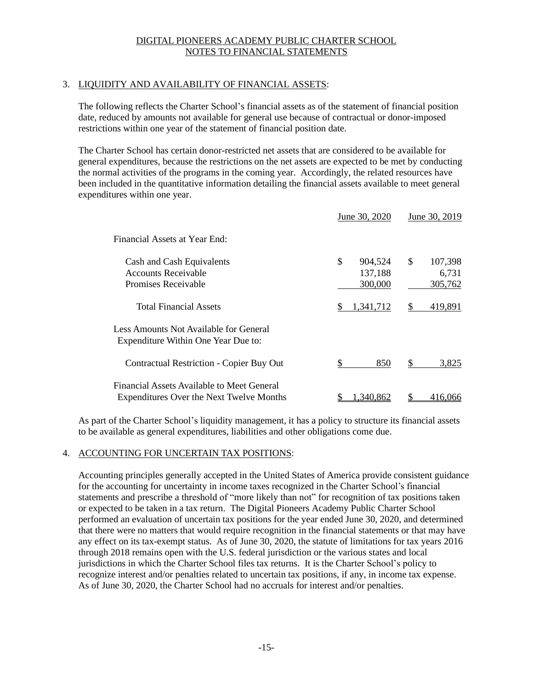### 3. LIQUIDITY AND AVAILABILITY OF FINANCIAL ASSETS:

The following reflects the Charter School's financial assets as of the statement of financial position date, reduced by amounts not available for general use because of contractual or donor-imposed restrictions within one year of the statement of financial position date.

The Charter School has certain donor-restricted net assets that are considered to be available for general expenditures, because the restrictions on the net assets are expected to be met by conducting the normal activities of the programs in the coming year. Accordingly, the related resources have been included in the quantitative information detailing the financial assets available to meet general expenditures within one year.

|                                                                                        | June 30, 2020                       | June 30, 2019                     |
|----------------------------------------------------------------------------------------|-------------------------------------|-----------------------------------|
| Financial Assets at Year End:                                                          |                                     |                                   |
| Cash and Cash Equivalents<br><b>Accounts Receivable</b><br>Promises Receivable         | \$<br>904,524<br>137,188<br>300,000 | \$<br>107,398<br>6,731<br>305,762 |
| <b>Total Financial Assets</b>                                                          | 1,341,712<br>\$.                    | \$<br>419,891                     |
| Less Amounts Not Available for General<br>Expenditure Within One Year Due to:          |                                     |                                   |
| <b>Contractual Restriction - Copier Buy Out</b>                                        | \$.<br>850                          | \$<br>3,825                       |
| Financial Assets Available to Meet General<br>Expenditures Over the Next Twelve Months | 1.340.862                           | 416.066                           |

As part of the Charter School's liquidity management, it has a policy to structure its financial assets to be available as general expenditures, liabilities and other obligations come due.

#### 4. ACCOUNTING FOR UNCERTAIN TAX POSITIONS:

Accounting principles generally accepted in the United States of America provide consistent guidance for the accounting for uncertainty in income taxes recognized in the Charter School's financial statements and prescribe a threshold of "more likely than not" for recognition of tax positions taken or expected to be taken in a tax return. The Digital Pioneers Academy Public Charter School performed an evaluation of uncertain tax positions for the year ended June 30, 2020, and determined that there were no matters that would require recognition in the financial statements or that may have any effect on its tax-exempt status. As of June 30, 2020, the statute of limitations for tax years 2016 through 2018 remains open with the U.S. federal jurisdiction or the various states and local jurisdictions in which the Charter School files tax returns. It is the Charter School's policy to recognize interest and/or penalties related to uncertain tax positions, if any, in income tax expense. As of June 30, 2020, the Charter School had no accruals for interest and/or penalties.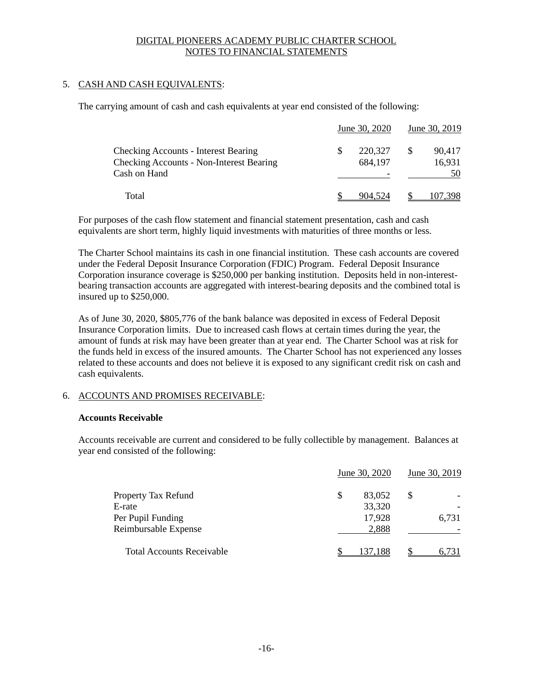### 5. CASH AND CASH EQUIVALENTS:

The carrying amount of cash and cash equivalents at year end consisted of the following:

|                                                 | June 30, 2020 |    | June 30, 2019 |
|-------------------------------------------------|---------------|----|---------------|
| <b>Checking Accounts - Interest Bearing</b>     | 220,327       | -S | 90,417        |
| <b>Checking Accounts - Non-Interest Bearing</b> | 684,197       |    | 16,931        |
| Cash on Hand                                    |               |    | 50            |
| Total                                           | 904.524       |    |               |

For purposes of the cash flow statement and financial statement presentation, cash and cash equivalents are short term, highly liquid investments with maturities of three months or less.

The Charter School maintains its cash in one financial institution. These cash accounts are covered under the Federal Deposit Insurance Corporation (FDIC) Program. Federal Deposit Insurance Corporation insurance coverage is \$250,000 per banking institution. Deposits held in non-interestbearing transaction accounts are aggregated with interest-bearing deposits and the combined total is insured up to \$250,000.

As of June 30, 2020, \$805,776 of the bank balance was deposited in excess of Federal Deposit Insurance Corporation limits. Due to increased cash flows at certain times during the year, the amount of funds at risk may have been greater than at year end. The Charter School was at risk for the funds held in excess of the insured amounts. The Charter School has not experienced any losses related to these accounts and does not believe it is exposed to any significant credit risk on cash and cash equivalents.

### 6. ACCOUNTS AND PROMISES RECEIVABLE:

### **Accounts Receivable**

Accounts receivable are current and considered to be fully collectible by management. Balances at year end consisted of the following:

|                                  | June 30, 2020 | June 30, 2019 |
|----------------------------------|---------------|---------------|
| Property Tax Refund              | 83,052<br>S   | S             |
| E-rate                           | 33,320        |               |
| Per Pupil Funding                | 17,928        | 6,731         |
| Reimbursable Expense             | 2,888         |               |
| <b>Total Accounts Receivable</b> | 137.188       | 6.731         |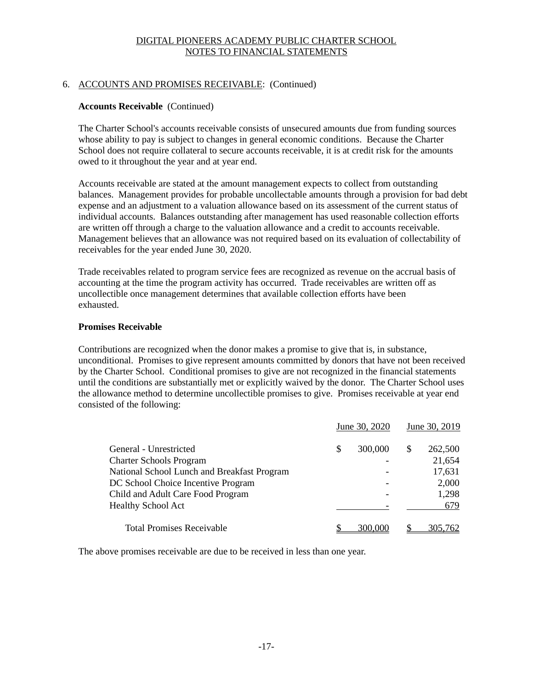### 6. ACCOUNTS AND PROMISES RECEIVABLE: (Continued)

### **Accounts Receivable** (Continued)

The Charter School's accounts receivable consists of unsecured amounts due from funding sources whose ability to pay is subject to changes in general economic conditions. Because the Charter School does not require collateral to secure accounts receivable, it is at credit risk for the amounts owed to it throughout the year and at year end.

Accounts receivable are stated at the amount management expects to collect from outstanding balances. Management provides for probable uncollectable amounts through a provision for bad debt expense and an adjustment to a valuation allowance based on its assessment of the current status of individual accounts. Balances outstanding after management has used reasonable collection efforts are written off through a charge to the valuation allowance and a credit to accounts receivable. Management believes that an allowance was not required based on its evaluation of collectability of receivables for the year ended June 30, 2020.

Trade receivables related to program service fees are recognized as revenue on the accrual basis of accounting at the time the program activity has occurred. Trade receivables are written off as uncollectible once management determines that available collection efforts have been exhausted.

### **Promises Receivable**

Contributions are recognized when the donor makes a promise to give that is, in substance, unconditional. Promises to give represent amounts committed by donors that have not been received by the Charter School. Conditional promises to give are not recognized in the financial statements until the conditions are substantially met or explicitly waived by the donor. The Charter School uses the allowance method to determine uncollectible promises to give. Promises receivable at year end consisted of the following:

|                                             |   | June 30, 2020 | June 30, 2019 |
|---------------------------------------------|---|---------------|---------------|
| General - Unrestricted                      | S | 300,000       | \$<br>262,500 |
| <b>Charter Schools Program</b>              |   |               | 21,654        |
| National School Lunch and Breakfast Program |   |               | 17,631        |
| DC School Choice Incentive Program          |   |               | 2,000         |
| Child and Adult Care Food Program           |   |               | 1,298         |
| <b>Healthy School Act</b>                   |   |               | 679           |
| <b>Total Promises Receivable</b>            |   | 300,000       | 305,762       |

The above promises receivable are due to be received in less than one year.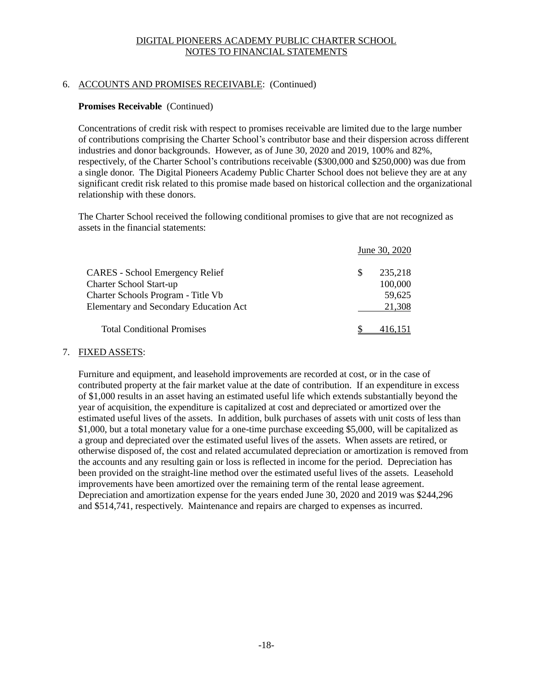### 6. ACCOUNTS AND PROMISES RECEIVABLE: (Continued)

### **Promises Receivable** (Continued)

Concentrations of credit risk with respect to promises receivable are limited due to the large number of contributions comprising the Charter School's contributor base and their dispersion across different industries and donor backgrounds. However, as of June 30, 2020 and 2019, 100% and 82%, respectively, of the Charter School's contributions receivable (\$300,000 and \$250,000) was due from a single donor. The Digital Pioneers Academy Public Charter School does not believe they are at any significant credit risk related to this promise made based on historical collection and the organizational relationship with these donors.

The Charter School received the following conditional promises to give that are not recognized as assets in the financial statements:

|                                               | June 30, 2020 |
|-----------------------------------------------|---------------|
| <b>CARES</b> - School Emergency Relief        | 235,218<br>S  |
| Charter School Start-up                       | 100,000       |
| Charter Schools Program - Title Vb            | 59,625        |
| <b>Elementary and Secondary Education Act</b> | 21,308        |
| <b>Total Conditional Promises</b>             |               |

### 7. FIXED ASSETS:

Furniture and equipment, and leasehold improvements are recorded at cost, or in the case of contributed property at the fair market value at the date of contribution. If an expenditure in excess of \$1,000 results in an asset having an estimated useful life which extends substantially beyond the year of acquisition, the expenditure is capitalized at cost and depreciated or amortized over the estimated useful lives of the assets. In addition, bulk purchases of assets with unit costs of less than \$1,000, but a total monetary value for a one-time purchase exceeding \$5,000, will be capitalized as a group and depreciated over the estimated useful lives of the assets. When assets are retired, or otherwise disposed of, the cost and related accumulated depreciation or amortization is removed from the accounts and any resulting gain or loss is reflected in income for the period. Depreciation has been provided on the straight-line method over the estimated useful lives of the assets. Leasehold improvements have been amortized over the remaining term of the rental lease agreement. Depreciation and amortization expense for the years ended June 30, 2020 and 2019 was \$244,296 and \$514,741, respectively. Maintenance and repairs are charged to expenses as incurred.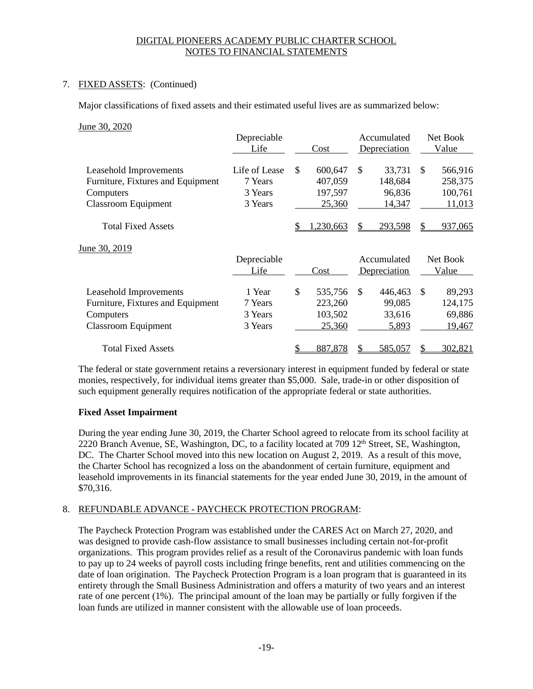### 7. FIXED ASSETS: (Continued)

Major classifications of fixed assets and their estimated useful lives are as summarized below:

#### June 30, 2020

| Depreciable   |      |         |      |              |                                                            | Net Book |
|---------------|------|---------|------|--------------|------------------------------------------------------------|----------|
|               |      |         |      |              |                                                            | Value    |
| Life of Lease | \$.  | 600,647 | \$   | 33,731       | \$                                                         | 566,916  |
| 7 Years       |      | 407,059 |      | 148,684      |                                                            | 258,375  |
| 3 Years       |      | 197,597 |      | 96,836       |                                                            | 100,761  |
| 3 Years       |      | 25,360  |      | 14,347       |                                                            | 11,013   |
|               |      | 230,663 |      | 293,598      |                                                            | 937,065  |
|               |      |         |      |              |                                                            |          |
| Depreciable   |      |         |      |              |                                                            | Net Book |
| Life          |      | Cost    |      |              |                                                            | Value    |
| 1 Year        | \$   | 535,756 | \$   | 446,463      | \$                                                         | 89,293   |
| 7 Years       |      | 223,260 |      | 99,085       |                                                            | 124,175  |
| 3 Years       |      | 103,502 |      | 33,616       |                                                            | 69,886   |
| 3 Years       |      | 25,360  |      | <u>5,893</u> |                                                            | 19,467   |
|               |      |         |      |              |                                                            |          |
|               | Life |         | Cost |              | Accumulated<br>Depreciation<br>Accumulated<br>Depreciation |          |

The federal or state government retains a reversionary interest in equipment funded by federal or state monies, respectively, for individual items greater than \$5,000. Sale, trade-in or other disposition of such equipment generally requires notification of the appropriate federal or state authorities.

### **Fixed Asset Impairment**

During the year ending June 30, 2019, the Charter School agreed to relocate from its school facility at 2220 Branch Avenue, SE, Washington, DC, to a facility located at 709 12<sup>th</sup> Street, SE, Washington, DC. The Charter School moved into this new location on August 2, 2019. As a result of this move, the Charter School has recognized a loss on the abandonment of certain furniture, equipment and leasehold improvements in its financial statements for the year ended June 30, 2019, in the amount of \$70,316.

### 8. REFUNDABLE ADVANCE - PAYCHECK PROTECTION PROGRAM:

The Paycheck Protection Program was established under the CARES Act on March 27, 2020, and was designed to provide cash-flow assistance to small businesses including certain not-for-profit organizations. This program provides relief as a result of the Coronavirus pandemic with loan funds to pay up to 24 weeks of payroll costs including fringe benefits, rent and utilities commencing on the date of loan origination. The Paycheck Protection Program is a loan program that is guaranteed in its entirety through the Small Business Administration and offers a maturity of two years and an interest rate of one percent (1%). The principal amount of the loan may be partially or fully forgiven if the loan funds are utilized in manner consistent with the allowable use of loan proceeds.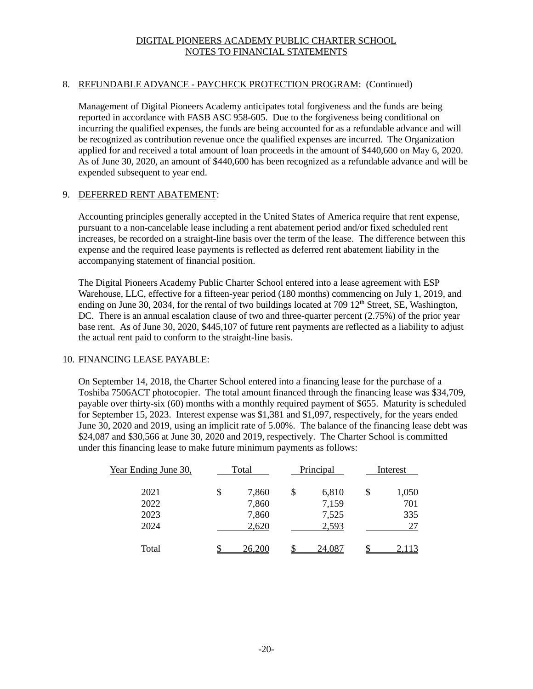### 8. REFUNDABLE ADVANCE - PAYCHECK PROTECTION PROGRAM: (Continued)

Management of Digital Pioneers Academy anticipates total forgiveness and the funds are being reported in accordance with FASB ASC 958-605. Due to the forgiveness being conditional on incurring the qualified expenses, the funds are being accounted for as a refundable advance and will be recognized as contribution revenue once the qualified expenses are incurred. The Organization applied for and received a total amount of loan proceeds in the amount of \$440,600 on May 6, 2020. As of June 30, 2020, an amount of \$440,600 has been recognized as a refundable advance and will be expended subsequent to year end.

### 9. DEFERRED RENT ABATEMENT:

Accounting principles generally accepted in the United States of America require that rent expense, pursuant to a non-cancelable lease including a rent abatement period and/or fixed scheduled rent increases, be recorded on a straight-line basis over the term of the lease. The difference between this expense and the required lease payments is reflected as deferred rent abatement liability in the accompanying statement of financial position.

The Digital Pioneers Academy Public Charter School entered into a lease agreement with ESP Warehouse, LLC, effective for a fifteen-year period (180 months) commencing on July 1, 2019, and ending on June 30, 2034, for the rental of two buildings located at 709 12<sup>th</sup> Street, SE, Washington, DC. There is an annual escalation clause of two and three-quarter percent (2.75%) of the prior year base rent. As of June 30, 2020, \$445,107 of future rent payments are reflected as a liability to adjust the actual rent paid to conform to the straight-line basis.

### 10. FINANCING LEASE PAYABLE:

On September 14, 2018, the Charter School entered into a financing lease for the purchase of a Toshiba 7506ACT photocopier. The total amount financed through the financing lease was \$34,709, payable over thirty-six (60) months with a monthly required payment of \$655. Maturity is scheduled for September 15, 2023. Interest expense was \$1,381 and \$1,097, respectively, for the years ended June 30, 2020 and 2019, using an implicit rate of 5.00%. The balance of the financing lease debt was \$24,087 and \$30,566 at June 30, 2020 and 2019, respectively. The Charter School is committed under this financing lease to make future minimum payments as follows:

| Year Ending June 30, | Total |        | Principal |        | Interest    |
|----------------------|-------|--------|-----------|--------|-------------|
| 2021                 | \$    | 7,860  | \$        | 6,810  | \$<br>1,050 |
| 2022                 |       | 7,860  |           | 7,159  | 701         |
| 2023                 |       | 7,860  |           | 7,525  | 335         |
| 2024                 |       | 2,620  |           | 2,593  | 27          |
| Total                |       | 26,200 |           | 24.087 | 2,113       |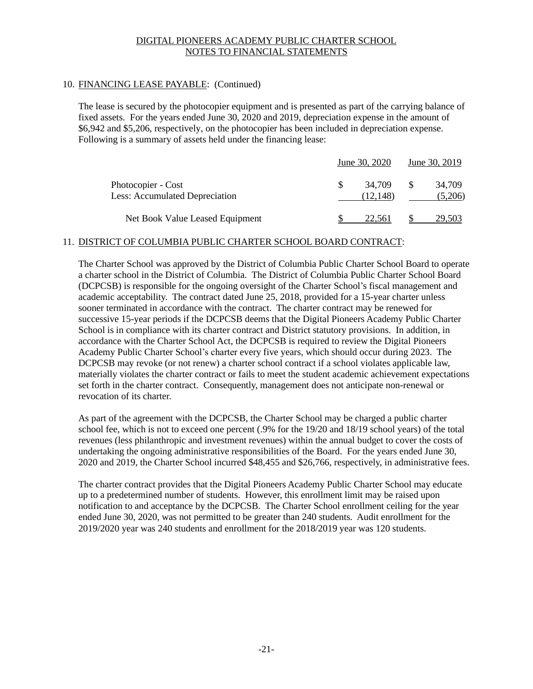### 10. FINANCING LEASE PAYABLE: (Continued)

The lease is secured by the photocopier equipment and is presented as part of the carrying balance of fixed assets. For the years ended June 30, 2020 and 2019, depreciation expense in the amount of \$6,942 and \$5,206, respectively, on the photocopier has been included in depreciation expense. Following is a summary of assets held under the financing lease:

|                                                      | June 30, 2020      | June 30, 2019     |
|------------------------------------------------------|--------------------|-------------------|
| Photocopier - Cost<br>Less: Accumulated Depreciation | 34.709<br>(12.148) | 34.709<br>(5,206) |
| Net Book Value Leased Equipment                      | 22.561             | 29.503            |

### 11. DISTRICT OF COLUMBIA PUBLIC CHARTER SCHOOL BOARD CONTRACT:

The Charter School was approved by the District of Columbia Public Charter School Board to operate a charter school in the District of Columbia. The District of Columbia Public Charter School Board (DCPCSB) is responsible for the ongoing oversight of the Charter School's fiscal management and academic acceptability. The contract dated June 25, 2018, provided for a 15-year charter unless sooner terminated in accordance with the contract. The charter contract may be renewed for successive 15-year periods if the DCPCSB deems that the Digital Pioneers Academy Public Charter School is in compliance with its charter contract and District statutory provisions. In addition, in accordance with the Charter School Act, the DCPCSB is required to review the Digital Pioneers Academy Public Charter School's charter every five years, which should occur during 2023. The DCPCSB may revoke (or not renew) a charter school contract if a school violates applicable law, materially violates the charter contract or fails to meet the student academic achievement expectations set forth in the charter contract. Consequently, management does not anticipate non-renewal or revocation of its charter.

As part of the agreement with the DCPCSB, the Charter School may be charged a public charter school fee, which is not to exceed one percent (.9% for the 19/20 and 18/19 school years) of the total revenues (less philanthropic and investment revenues) within the annual budget to cover the costs of undertaking the ongoing administrative responsibilities of the Board. For the years ended June 30, 2020 and 2019, the Charter School incurred \$48,455 and \$26,766, respectively, in administrative fees.

The charter contract provides that the Digital Pioneers Academy Public Charter School may educate up to a predetermined number of students. However, this enrollment limit may be raised upon notification to and acceptance by the DCPCSB. The Charter School enrollment ceiling for the year ended June 30, 2020, was not permitted to be greater than 240 students. Audit enrollment for the 2019/2020 year was 240 students and enrollment for the 2018/2019 year was 120 students.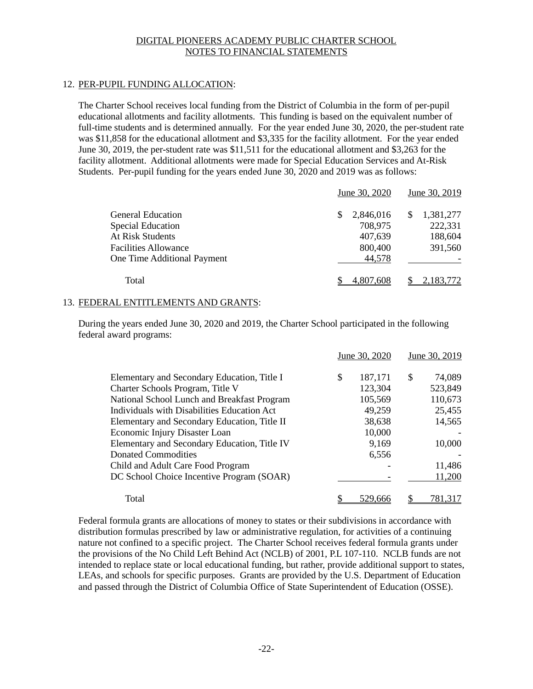### 12. PER-PUPIL FUNDING ALLOCATION:

The Charter School receives local funding from the District of Columbia in the form of per-pupil educational allotments and facility allotments. This funding is based on the equivalent number of full-time students and is determined annually. For the year ended June 30, 2020, the per-student rate was \$11,858 for the educational allotment and \$3,335 for the facility allotment. For the year ended June 30, 2019, the per-student rate was \$11,511 for the educational allotment and \$3,263 for the facility allotment. Additional allotments were made for Special Education Services and At-Risk Students. Per-pupil funding for the years ended June 30, 2020 and 2019 was as follows:

|                             | June 30, 2020  | June 30, 2019    |
|-----------------------------|----------------|------------------|
| <b>General Education</b>    | 2,846,016<br>S | 1,381,277<br>\$. |
| <b>Special Education</b>    | 708,975        | 222,331          |
| <b>At Risk Students</b>     | 407,639        | 188,604          |
| <b>Facilities Allowance</b> | 800,400        | 391,560          |
| One Time Additional Payment | 44,578         |                  |
| Total                       | 4,807,608      | 2,183,772        |

### 13. FEDERAL ENTITLEMENTS AND GRANTS:

During the years ended June 30, 2020 and 2019, the Charter School participated in the following federal award programs:

|                                              | June 30, 2020 | June 30, 2019 |
|----------------------------------------------|---------------|---------------|
| Elementary and Secondary Education, Title I  | \$<br>187,171 | \$<br>74,089  |
| Charter Schools Program, Title V             | 123,304       | 523,849       |
| National School Lunch and Breakfast Program  | 105,569       | 110,673       |
| Individuals with Disabilities Education Act  | 49,259        | 25,455        |
| Elementary and Secondary Education, Title II | 38,638        | 14,565        |
| Economic Injury Disaster Loan                | 10,000        |               |
| Elementary and Secondary Education, Title IV | 9,169         | 10,000        |
| <b>Donated Commodities</b>                   | 6,556         |               |
| Child and Adult Care Food Program            |               | 11,486        |
| DC School Choice Incentive Program (SOAR)    |               | 11,200        |
| Total                                        | 529.666       | 781.317       |

Federal formula grants are allocations of money to states or their subdivisions in accordance with distribution formulas prescribed by law or administrative regulation, for activities of a continuing nature not confined to a specific project. The Charter School receives federal formula grants under the provisions of the No Child Left Behind Act (NCLB) of 2001, P.L 107-110. NCLB funds are not intended to replace state or local educational funding, but rather, provide additional support to states, LEAs, and schools for specific purposes. Grants are provided by the U.S. Department of Education and passed through the District of Columbia Office of State Superintendent of Education (OSSE).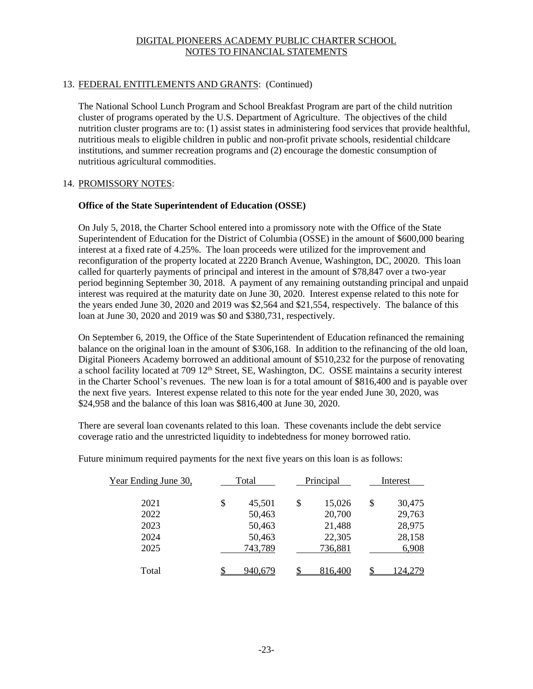### 13. FEDERAL ENTITLEMENTS AND GRANTS: (Continued)

The National School Lunch Program and School Breakfast Program are part of the child nutrition cluster of programs operated by the U.S. Department of Agriculture. The objectives of the child nutrition cluster programs are to: (1) assist states in administering food services that provide healthful, nutritious meals to eligible children in public and non-profit private schools, residential childcare institutions, and summer recreation programs and (2) encourage the domestic consumption of nutritious agricultural commodities.

### 14. PROMISSORY NOTES:

### **Office of the State Superintendent of Education (OSSE)**

On July 5, 2018, the Charter School entered into a promissory note with the Office of the State Superintendent of Education for the District of Columbia (OSSE) in the amount of \$600,000 bearing interest at a fixed rate of 4.25%. The loan proceeds were utilized for the improvement and reconfiguration of the property located at 2220 Branch Avenue, Washington, DC, 20020. This loan called for quarterly payments of principal and interest in the amount of \$78,847 over a two-year period beginning September 30, 2018. A payment of any remaining outstanding principal and unpaid interest was required at the maturity date on June 30, 2020. Interest expense related to this note for the years ended June 30, 2020 and 2019 was \$2,564 and \$21,554, respectively. The balance of this loan at June 30, 2020 and 2019 was \$0 and \$380,731, respectively.

On September 6, 2019, the Office of the State Superintendent of Education refinanced the remaining balance on the original loan in the amount of \$306,168. In addition to the refinancing of the old loan, Digital Pioneers Academy borrowed an additional amount of \$510,232 for the purpose of renovating a school facility located at 709 12<sup>th</sup> Street, SE, Washington, DC. OSSE maintains a security interest in the Charter School's revenues. The new loan is for a total amount of \$816,400 and is payable over the next five years. Interest expense related to this note for the year ended June 30, 2020, was \$24,958 and the balance of this loan was \$816,400 at June 30, 2020.

There are several loan covenants related to this loan. These covenants include the debt service coverage ratio and the unrestricted liquidity to indebtedness for money borrowed ratio.

Future minimum required payments for the next five years on this loan is as follows:

| Year Ending June 30, | Total        | Principal    | Interest     |
|----------------------|--------------|--------------|--------------|
| 2021                 | \$<br>45,501 | \$<br>15,026 | \$<br>30,475 |
| 2022                 | 50,463       | 20,700       | 29,763       |
| 2023                 | 50,463       | 21,488       | 28,975       |
| 2024                 | 50,463       | 22,305       | 28,158       |
| 2025                 | 743,789      | 736,881      | 6,908        |
| Total                | 940.679      | 816,400      | 124.279      |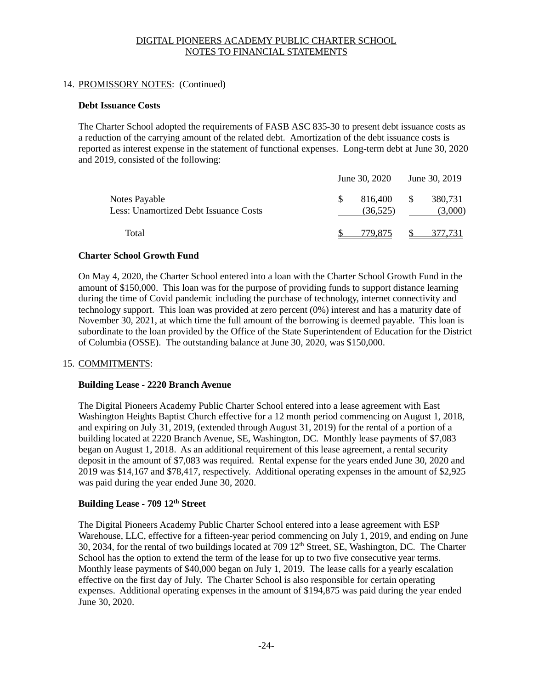### 14. PROMISSORY NOTES: (Continued)

### **Debt Issuance Costs**

The Charter School adopted the requirements of FASB ASC 835-30 to present debt issuance costs as a reduction of the carrying amount of the related debt. Amortization of the debt issuance costs is reported as interest expense in the statement of functional expenses. Long-term debt at June 30, 2020 and 2019, consisted of the following:

|                                                        | June 30, 2020       |              | June 30, 2019      |
|--------------------------------------------------------|---------------------|--------------|--------------------|
| Notes Payable<br>Less: Unamortized Debt Issuance Costs | 816,400<br>(36.525) | $\mathbb{S}$ | 380,731<br>(3,000) |
| Total                                                  | 1/9.875             |              | 377.731            |

### **Charter School Growth Fund**

On May 4, 2020, the Charter School entered into a loan with the Charter School Growth Fund in the amount of \$150,000. This loan was for the purpose of providing funds to support distance learning during the time of Covid pandemic including the purchase of technology, internet connectivity and technology support. This loan was provided at zero percent (0%) interest and has a maturity date of November 30, 2021, at which time the full amount of the borrowing is deemed payable. This loan is subordinate to the loan provided by the Office of the State Superintendent of Education for the District of Columbia (OSSE). The outstanding balance at June 30, 2020, was \$150,000.

### 15. COMMITMENTS:

### **Building Lease - 2220 Branch Avenue**

The Digital Pioneers Academy Public Charter School entered into a lease agreement with East Washington Heights Baptist Church effective for a 12 month period commencing on August 1, 2018, and expiring on July 31, 2019, (extended through August 31, 2019) for the rental of a portion of a building located at 2220 Branch Avenue, SE, Washington, DC. Monthly lease payments of \$7,083 began on August 1, 2018. As an additional requirement of this lease agreement, a rental security deposit in the amount of \$7,083 was required. Rental expense for the years ended June 30, 2020 and 2019 was \$14,167 and \$78,417, respectively. Additional operating expenses in the amount of \$2,925 was paid during the year ended June 30, 2020.

### **Building Lease - 709 12th Street**

The Digital Pioneers Academy Public Charter School entered into a lease agreement with ESP Warehouse, LLC, effective for a fifteen-year period commencing on July 1, 2019, and ending on June 30, 2034, for the rental of two buildings located at 709 12<sup>th</sup> Street, SE, Washington, DC. The Charter School has the option to extend the term of the lease for up to two five consecutive year terms. Monthly lease payments of \$40,000 began on July 1, 2019. The lease calls for a yearly escalation effective on the first day of July. The Charter School is also responsible for certain operating expenses. Additional operating expenses in the amount of \$194,875 was paid during the year ended June 30, 2020.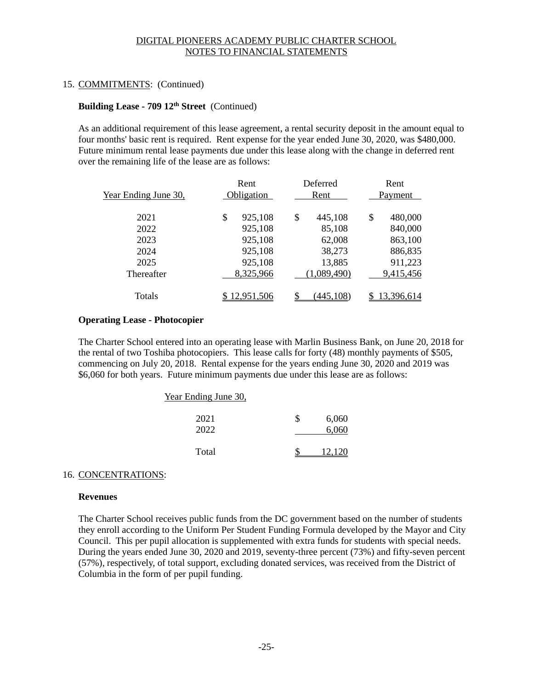### 15. COMMITMENTS: (Continued)

### **Building Lease - 709 12th Street** (Continued)

As an additional requirement of this lease agreement, a rental security deposit in the amount equal to four months' basic rent is required. Rent expense for the year ended June 30, 2020, was \$480,000. Future minimum rental lease payments due under this lease along with the change in deferred rent over the remaining life of the lease are as follows:

| Year Ending June 30, | Rent<br>Obligation | Deferred<br>Rent | Rent<br>Payment |
|----------------------|--------------------|------------------|-----------------|
| 2021                 | \$<br>925,108      | \$<br>445,108    | \$<br>480,000   |
| 2022                 | 925,108            | 85,108           | 840,000         |
| 2023                 | 925,108            | 62,008           | 863,100         |
| 2024                 | 925,108            | 38,273           | 886,835         |
| 2025                 | 925,108            | 13,885           | 911,223         |
| Thereafter           | 8,325,966          | (1,089,490)      | 9,415,456       |
| Totals               | <u>2,951,506</u>   | <u>445,108)</u>  | 13,396,614      |

### **Operating Lease - Photocopier**

The Charter School entered into an operating lease with Marlin Business Bank, on June 20, 2018 for the rental of two Toshiba photocopiers. This lease calls for forty (48) monthly payments of \$505, commencing on July 20, 2018. Rental expense for the years ending June 30, 2020 and 2019 was \$6,060 for both years. Future minimum payments due under this lease are as follows:

#### Year Ending June 30,

| 2021<br>2022 | \$<br>6,060<br>6,060 |
|--------------|----------------------|
| Total        | 12,120               |

#### 16. CONCENTRATIONS:

#### **Revenues**

The Charter School receives public funds from the DC government based on the number of students they enroll according to the Uniform Per Student Funding Formula developed by the Mayor and City Council. This per pupil allocation is supplemented with extra funds for students with special needs. During the years ended June 30, 2020 and 2019, seventy-three percent (73%) and fifty-seven percent (57%), respectively, of total support, excluding donated services, was received from the District of Columbia in the form of per pupil funding.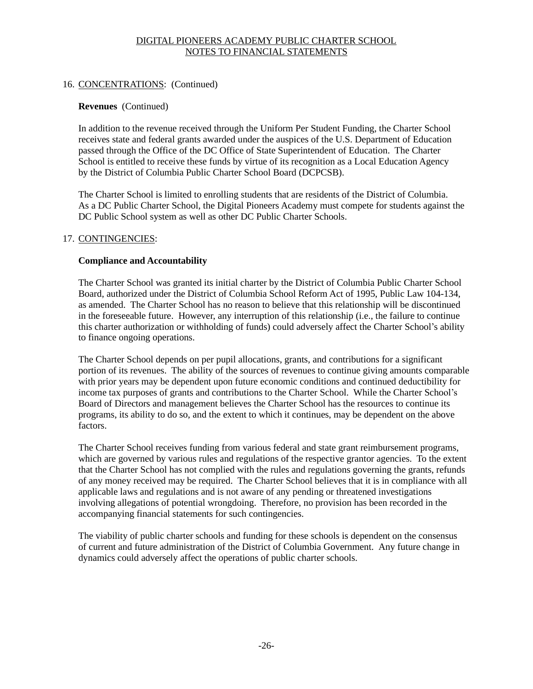### 16. CONCENTRATIONS: (Continued)

### **Revenues** (Continued)

In addition to the revenue received through the Uniform Per Student Funding, the Charter School receives state and federal grants awarded under the auspices of the U.S. Department of Education passed through the Office of the DC Office of State Superintendent of Education. The Charter School is entitled to receive these funds by virtue of its recognition as a Local Education Agency by the District of Columbia Public Charter School Board (DCPCSB).

The Charter School is limited to enrolling students that are residents of the District of Columbia. As a DC Public Charter School, the Digital Pioneers Academy must compete for students against the DC Public School system as well as other DC Public Charter Schools.

### 17. CONTINGENCIES:

### **Compliance and Accountability**

The Charter School was granted its initial charter by the District of Columbia Public Charter School Board, authorized under the District of Columbia School Reform Act of 1995, Public Law 104-134, as amended. The Charter School has no reason to believe that this relationship will be discontinued in the foreseeable future. However, any interruption of this relationship (i.e., the failure to continue this charter authorization or withholding of funds) could adversely affect the Charter School's ability to finance ongoing operations.

The Charter School depends on per pupil allocations, grants, and contributions for a significant portion of its revenues. The ability of the sources of revenues to continue giving amounts comparable with prior years may be dependent upon future economic conditions and continued deductibility for income tax purposes of grants and contributions to the Charter School. While the Charter School's Board of Directors and management believes the Charter School has the resources to continue its programs, its ability to do so, and the extent to which it continues, may be dependent on the above factors.

The Charter School receives funding from various federal and state grant reimbursement programs, which are governed by various rules and regulations of the respective grantor agencies. To the extent that the Charter School has not complied with the rules and regulations governing the grants, refunds of any money received may be required. The Charter School believes that it is in compliance with all applicable laws and regulations and is not aware of any pending or threatened investigations involving allegations of potential wrongdoing. Therefore, no provision has been recorded in the accompanying financial statements for such contingencies.

The viability of public charter schools and funding for these schools is dependent on the consensus of current and future administration of the District of Columbia Government. Any future change in dynamics could adversely affect the operations of public charter schools.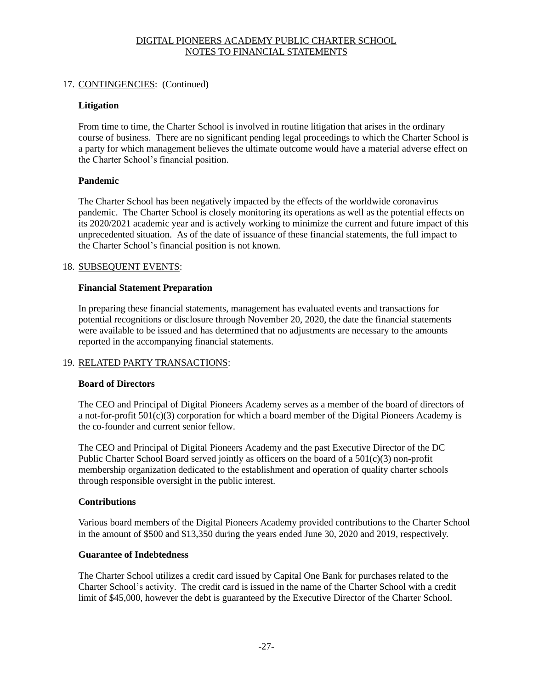### 17. CONTINGENCIES: (Continued)

### **Litigation**

From time to time, the Charter School is involved in routine litigation that arises in the ordinary course of business. There are no significant pending legal proceedings to which the Charter School is a party for which management believes the ultimate outcome would have a material adverse effect on the Charter School's financial position.

### **Pandemic**

The Charter School has been negatively impacted by the effects of the worldwide coronavirus pandemic. The Charter School is closely monitoring its operations as well as the potential effects on its 2020/2021 academic year and is actively working to minimize the current and future impact of this unprecedented situation. As of the date of issuance of these financial statements, the full impact to the Charter School's financial position is not known.

### 18. SUBSEQUENT EVENTS:

### **Financial Statement Preparation**

In preparing these financial statements, management has evaluated events and transactions for potential recognitions or disclosure through November 20, 2020, the date the financial statements were available to be issued and has determined that no adjustments are necessary to the amounts reported in the accompanying financial statements.

### 19. RELATED PARTY TRANSACTIONS:

### **Board of Directors**

The CEO and Principal of Digital Pioneers Academy serves as a member of the board of directors of a not-for-profit 501(c)(3) corporation for which a board member of the Digital Pioneers Academy is the co-founder and current senior fellow.

The CEO and Principal of Digital Pioneers Academy and the past Executive Director of the DC Public Charter School Board served jointly as officers on the board of a 501(c)(3) non-profit membership organization dedicated to the establishment and operation of quality charter schools through responsible oversight in the public interest.

### **Contributions**

Various board members of the Digital Pioneers Academy provided contributions to the Charter School in the amount of \$500 and \$13,350 during the years ended June 30, 2020 and 2019, respectively.

### **Guarantee of Indebtedness**

The Charter School utilizes a credit card issued by Capital One Bank for purchases related to the Charter School's activity. The credit card is issued in the name of the Charter School with a credit limit of \$45,000, however the debt is guaranteed by the Executive Director of the Charter School.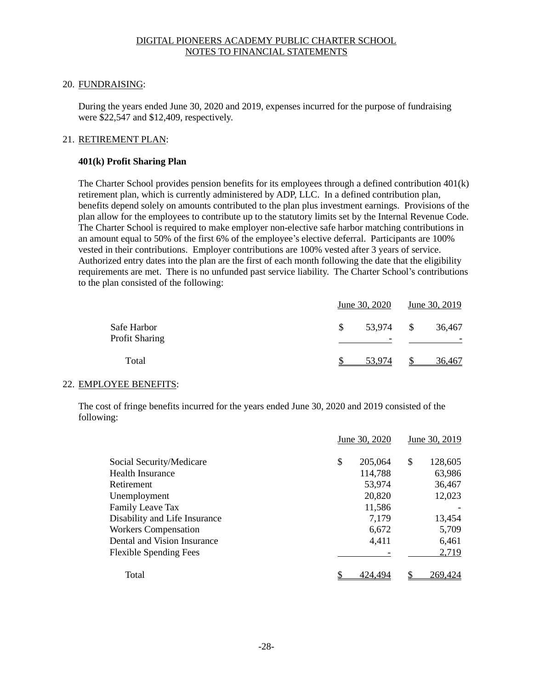### 20. FUNDRAISING:

During the years ended June 30, 2020 and 2019, expenses incurred for the purpose of fundraising were \$22,547 and \$12,409, respectively.

### 21. RETIREMENT PLAN:

### **401(k) Profit Sharing Plan**

The Charter School provides pension benefits for its employees through a defined contribution 401(k) retirement plan, which is currently administered by ADP, LLC. In a defined contribution plan, benefits depend solely on amounts contributed to the plan plus investment earnings. Provisions of the plan allow for the employees to contribute up to the statutory limits set by the Internal Revenue Code. The Charter School is required to make employer non-elective safe harbor matching contributions in an amount equal to 50% of the first 6% of the employee's elective deferral. Participants are 100% vested in their contributions. Employer contributions are 100% vested after 3 years of service. Authorized entry dates into the plan are the first of each month following the date that the eligibility requirements are met. There is no unfunded past service liability. The Charter School's contributions to the plan consisted of the following:

|                                      |     | June 30, 2020 |    | June 30, 2019 |  |
|--------------------------------------|-----|---------------|----|---------------|--|
| Safe Harbor<br><b>Profit Sharing</b> | \$. | 53,974        | -S | 36,467        |  |
| Total                                |     | 53.974        |    | 36,467        |  |

### 22. EMPLOYEE BENEFITS:

The cost of fringe benefits incurred for the years ended June 30, 2020 and 2019 consisted of the following:

|                               | June 30, 2020 |         | June 30, 2019 |         |
|-------------------------------|---------------|---------|---------------|---------|
| Social Security/Medicare      | \$            | 205,064 | \$            | 128,605 |
| <b>Health Insurance</b>       |               | 114,788 |               | 63,986  |
| Retirement                    |               | 53,974  |               | 36,467  |
| Unemployment                  |               | 20,820  |               | 12,023  |
| <b>Family Leave Tax</b>       |               | 11,586  |               |         |
| Disability and Life Insurance |               | 7,179   |               | 13,454  |
| <b>Workers Compensation</b>   |               | 6,672   |               | 5,709   |
| Dental and Vision Insurance   |               | 4,411   |               | 6,461   |
| <b>Flexible Spending Fees</b> |               |         |               | 2,719   |
| Total                         |               | 424.494 |               | 269,424 |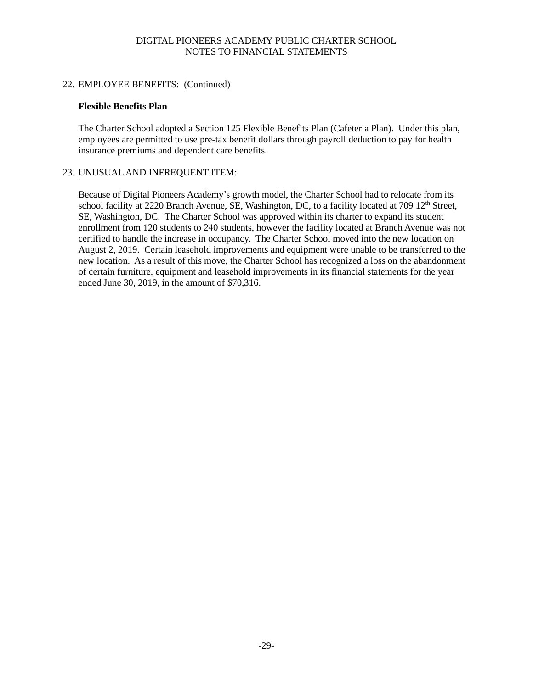### 22. EMPLOYEE BENEFITS: (Continued)

### **Flexible Benefits Plan**

The Charter School adopted a Section 125 Flexible Benefits Plan (Cafeteria Plan). Under this plan, employees are permitted to use pre-tax benefit dollars through payroll deduction to pay for health insurance premiums and dependent care benefits.

### 23. UNUSUAL AND INFREQUENT ITEM:

Because of Digital Pioneers Academy's growth model, the Charter School had to relocate from its school facility at 2220 Branch Avenue, SE, Washington, DC, to a facility located at 709 12<sup>th</sup> Street, SE, Washington, DC. The Charter School was approved within its charter to expand its student enrollment from 120 students to 240 students, however the facility located at Branch Avenue was not certified to handle the increase in occupancy. The Charter School moved into the new location on August 2, 2019. Certain leasehold improvements and equipment were unable to be transferred to the new location. As a result of this move, the Charter School has recognized a loss on the abandonment of certain furniture, equipment and leasehold improvements in its financial statements for the year ended June 30, 2019, in the amount of \$70,316.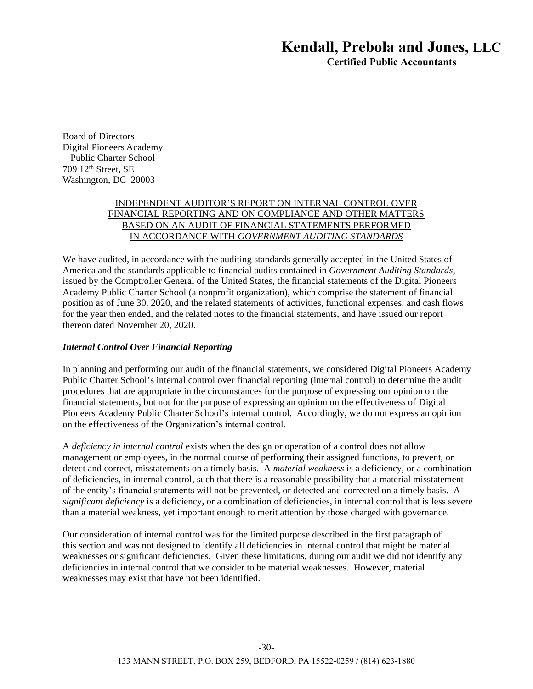## Kendall, Prebola and Jones, LLC

Certified Public Accountants

Board of Directors Digital Pioneers Academy Public Charter School 709 12th Street, SE Washington, DC 20003

### INDEPENDENT AUDITOR'S REPORT ON INTERNAL CONTROL OVER FINANCIAL REPORTING AND ON COMPLIANCE AND OTHER MATTERS BASED ON AN AUDIT OF FINANCIAL STATEMENTS PERFORMED IN ACCORDANCE WITH *GOVERNMENT AUDITING STANDARDS*

We have audited, in accordance with the auditing standards generally accepted in the United States of America and the standards applicable to financial audits contained in *Government Auditing Standards*, issued by the Comptroller General of the United States, the financial statements of the Digital Pioneers Academy Public Charter School (a nonprofit organization), which comprise the statement of financial position as of June 30, 2020, and the related statements of activities, functional expenses, and cash flows for the year then ended, and the related notes to the financial statements, and have issued our report thereon dated November 20, 2020.

### *Internal Control Over Financial Reporting*

In planning and performing our audit of the financial statements, we considered Digital Pioneers Academy Public Charter School's internal control over financial reporting (internal control) to determine the audit procedures that are appropriate in the circumstances for the purpose of expressing our opinion on the financial statements, but not for the purpose of expressing an opinion on the effectiveness of Digital Pioneers Academy Public Charter School's internal control. Accordingly, we do not express an opinion on the effectiveness of the Organization's internal control.

A *deficiency in internal control* exists when the design or operation of a control does not allow management or employees, in the normal course of performing their assigned functions, to prevent, or detect and correct, misstatements on a timely basis. A *material weakness* is a deficiency, or a combination of deficiencies, in internal control, such that there is a reasonable possibility that a material misstatement of the entity's financial statements will not be prevented, or detected and corrected on a timely basis. A *significant deficiency* is a deficiency, or a combination of deficiencies, in internal control that is less severe than a material weakness, yet important enough to merit attention by those charged with governance.

Our consideration of internal control was for the limited purpose described in the first paragraph of this section and was not designed to identify all deficiencies in internal control that might be material weaknesses or significant deficiencies. Given these limitations, during our audit we did not identify any deficiencies in internal control that we consider to be material weaknesses. However, material weaknesses may exist that have not been identified.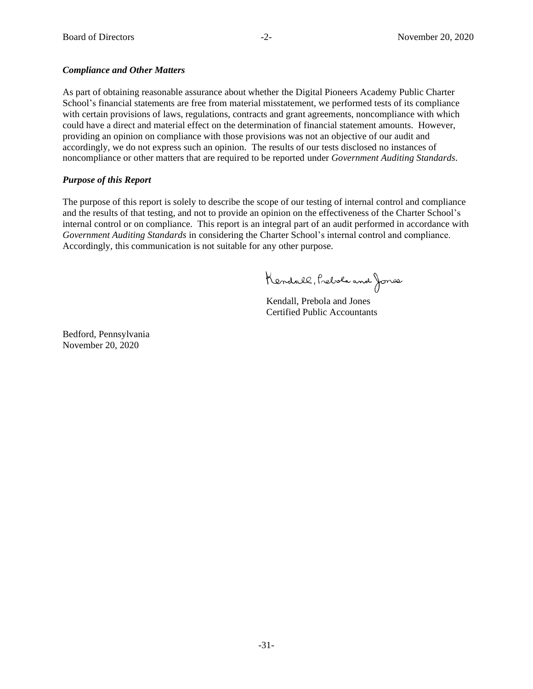### *Compliance and Other Matters*

As part of obtaining reasonable assurance about whether the Digital Pioneers Academy Public Charter School's financial statements are free from material misstatement, we performed tests of its compliance with certain provisions of laws, regulations, contracts and grant agreements, noncompliance with which could have a direct and material effect on the determination of financial statement amounts. However, providing an opinion on compliance with those provisions was not an objective of our audit and accordingly, we do not express such an opinion. The results of our tests disclosed no instances of noncompliance or other matters that are required to be reported under *Government Auditing Standards*.

#### *Purpose of this Report*

The purpose of this report is solely to describe the scope of our testing of internal control and compliance and the results of that testing, and not to provide an opinion on the effectiveness of the Charter School's internal control or on compliance. This report is an integral part of an audit performed in accordance with *Government Auditing Standards* in considering the Charter School's internal control and compliance. Accordingly, this communication is not suitable for any other purpose.

Kendall, Preble and Jones

Kendall, Prebola and Jones Certified Public Accountants

Bedford, Pennsylvania November 20, 2020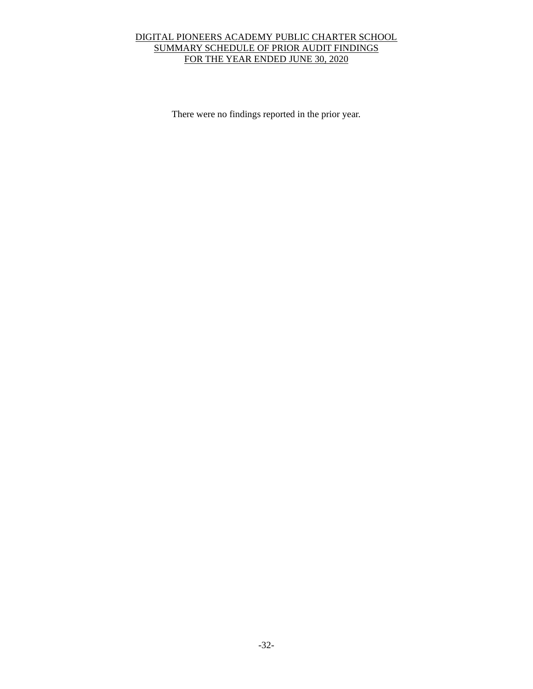### DIGITAL PIONEERS ACADEMY PUBLIC CHARTER SCHOOL SUMMARY SCHEDULE OF PRIOR AUDIT FINDINGS FOR THE YEAR ENDED JUNE 30, 2020

There were no findings reported in the prior year.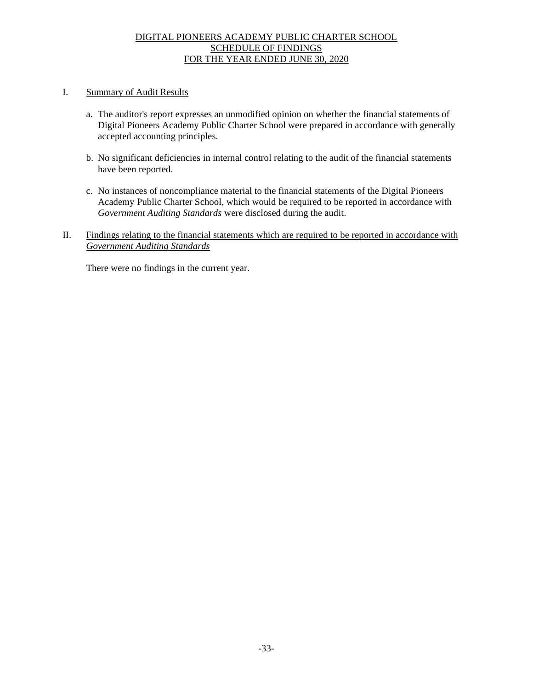### DIGITAL PIONEERS ACADEMY PUBLIC CHARTER SCHOOL SCHEDULE OF FINDINGS FOR THE YEAR ENDED JUNE 30, 2020

### I. Summary of Audit Results

- a. The auditor's report expresses an unmodified opinion on whether the financial statements of Digital Pioneers Academy Public Charter School were prepared in accordance with generally accepted accounting principles.
- b. No significant deficiencies in internal control relating to the audit of the financial statements have been reported.
- c. No instances of noncompliance material to the financial statements of the Digital Pioneers Academy Public Charter School, which would be required to be reported in accordance with *Government Auditing Standards* were disclosed during the audit.
- II. Findings relating to the financial statements which are required to be reported in accordance with *Government Auditing Standards*

There were no findings in the current year.